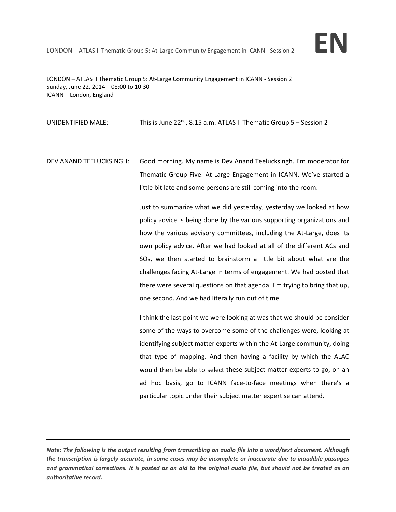

LONDON – ATLAS II Thematic Group 5: At‐Large Community Engagement in ICANN ‐ Session 2 Sunday, June 22, 2014 – 08:00 to 10:30 ICANN – London, England

UNIDENTIFIED MALE: This is June 22<sup>nd</sup>, 8:15 a.m. ATLAS II Thematic Group 5 – Session 2

DEV ANAND TEELUCKSINGH: Good morning. My name is Dev Anand Teelucksingh. I'm moderator for Thematic Group Five: At‐Large Engagement in ICANN. We've started a little bit late and some persons are still coming into the room.

> Just to summarize what we did yesterday, yesterday we looked at how policy advice is being done by the various supporting organizations and how the various advisory committees, including the At-Large, does its own policy advice. After we had looked at all of the different ACs and SOs, we then started to brainstorm a little bit about what are the challenges facing At‐Large in terms of engagement. We had posted that there were several questions on that agenda. I'm trying to bring that up, one second. And we had literally run out of time.

> I think the last point we were looking at was that we should be consider some of the ways to overcome some of the challenges were, looking at identifying subject matter experts within the At‐Large community, doing that type of mapping. And then having a facility by which the ALAC would then be able to select these subject matter experts to go, on an ad hoc basis, go to ICANN face-to-face meetings when there's a particular topic under their subject matter expertise can attend.

Note: The following is the output resulting from transcribing an audio file into a word/text document. Although the transcription is largely accurate, in some cases may be incomplete or inaccurate due to inaudible passages and grammatical corrections. It is posted as an aid to the original audio file, but should not be treated as an *authoritative record.*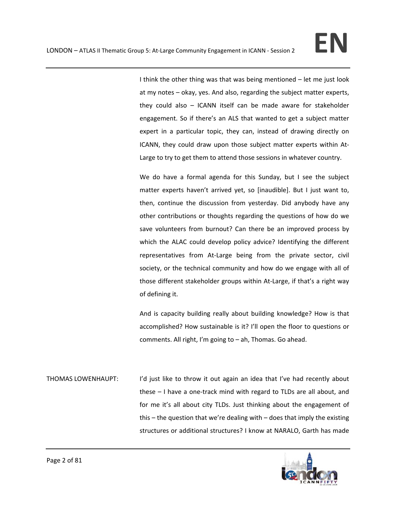I think the other thing was that was being mentioned – let me just look at my notes – okay, yes. And also, regarding the subject matter experts, they could also – ICANN itself can be made aware for stakeholder engagement. So if there's an ALS that wanted to get a subject matter expert in a particular topic, they can, instead of drawing directly on ICANN, they could draw upon those subject matter experts within At‐ Large to try to get them to attend those sessions in whatever country.

We do have a formal agenda for this Sunday, but I see the subject matter experts haven't arrived yet, so [inaudible]. But I just want to, then, continue the discussion from yesterday. Did anybody have any other contributions or thoughts regarding the questions of how do we save volunteers from burnout? Can there be an improved process by which the ALAC could develop policy advice? Identifying the different representatives from At-Large being from the private sector, civil society, or the technical community and how do we engage with all of those different stakeholder groups within At‐Large, if that's a right way of defining it.

And is capacity building really about building knowledge? How is that accomplished? How sustainable is it? I'll open the floor to questions or comments. All right, I'm going to – ah, Thomas. Go ahead.

THOMAS LOWENHAUPT: I'd just like to throw it out again an idea that I've had recently about these – I have a one-track mind with regard to TLDs are all about, and for me it's all about city TLDs. Just thinking about the engagement of this – the question that we're dealing with – does that imply the existing structures or additional structures? I know at NARALO, Garth has made

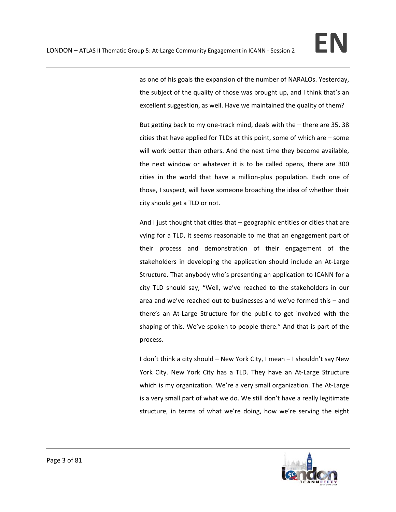as one of his goals the expansion of the number of NARALOs. Yesterday, the subject of the quality of those was brought up, and I think that's an excellent suggestion, as well. Have we maintained the quality of them?

But getting back to my one‐track mind, deals with the – there are 35, 38 cities that have applied for TLDs at this point, some of which are – some will work better than others. And the next time they become available, the next window or whatever it is to be called opens, there are 300 cities in the world that have a million‐plus population. Each one of those, I suspect, will have someone broaching the idea of whether their city should get a TLD or not.

And I just thought that cities that – geographic entities or cities that are vying for a TLD, it seems reasonable to me that an engagement part of their process and demonstration of their engagement of the stakeholders in developing the application should include an At-Large Structure. That anybody who's presenting an application to ICANN for a city TLD should say, "Well, we've reached to the stakeholders in our area and we've reached out to businesses and we've formed this – and there's an At‐Large Structure for the public to get involved with the shaping of this. We've spoken to people there." And that is part of the process.

I don't think a city should – New York City, I mean – I shouldn't say New York City. New York City has a TLD. They have an At-Large Structure which is my organization. We're a very small organization. The At-Large is a very small part of what we do. We still don't have a really legitimate structure, in terms of what we're doing, how we're serving the eight

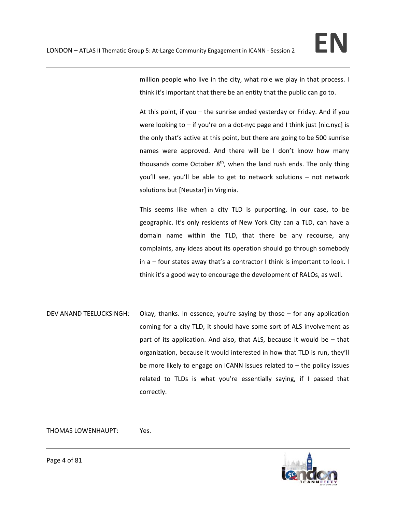million people who live in the city, what role we play in that process. I think it's important that there be an entity that the public can go to.

At this point, if you – the sunrise ended yesterday or Friday. And if you were looking to – if you're on a dot-nyc page and I think just [nic.nyc] is the only that's active at this point, but there are going to be 500 sunrise names were approved. And there will be I don't know how many thousands come October  $8<sup>th</sup>$ , when the land rush ends. The only thing you'll see, you'll be able to get to network solutions – not network solutions but [Neustar] in Virginia.

This seems like when a city TLD is purporting, in our case, to be geographic. It's only residents of New York City can a TLD, can have a domain name within the TLD, that there be any recourse, any complaints, any ideas about its operation should go through somebody in a – four states away that's a contractor I think is important to look. I think it's a good way to encourage the development of RALOs, as well.

DEV ANAND TEELUCKSINGH: Okay, thanks. In essence, you're saying by those – for any application coming for a city TLD, it should have some sort of ALS involvement as part of its application. And also, that ALS, because it would be – that organization, because it would interested in how that TLD is run, they'll be more likely to engage on ICANN issues related to – the policy issues related to TLDs is what you're essentially saying, if I passed that correctly.

THOMAS LOWENHAUPT: Yes.

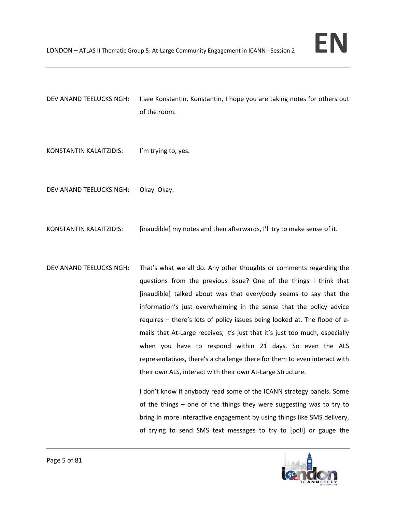

- DEV ANAND TEELUCKSINGH: I see Konstantin. Konstantin, I hope you are taking notes for others out of the room.
- KONSTANTIN KALAITZIDIS: I'm trying to, yes.
- DEV ANAND TEELUCKSINGH: Okay. Okay.
- KONSTANTIN KALAITZIDIS: [inaudible] my notes and then afterwards, I'll try to make sense of it.
- DEV ANAND TEELUCKSINGH: That's what we all do. Any other thoughts or comments regarding the questions from the previous issue? One of the things I think that [inaudible] talked about was that everybody seems to say that the information's just overwhelming in the sense that the policy advice requires – there's lots of policy issues being looked at. The flood of e‐ mails that At-Large receives, it's just that it's just too much, especially when you have to respond within 21 days. So even the ALS representatives, there's a challenge there for them to even interact with their own ALS, interact with their own At‐Large Structure.

I don't know if anybody read some of the ICANN strategy panels. Some of the things – one of the things they were suggesting was to try to bring in more interactive engagement by using things like SMS delivery, of trying to send SMS text messages to try to [poll] or gauge the

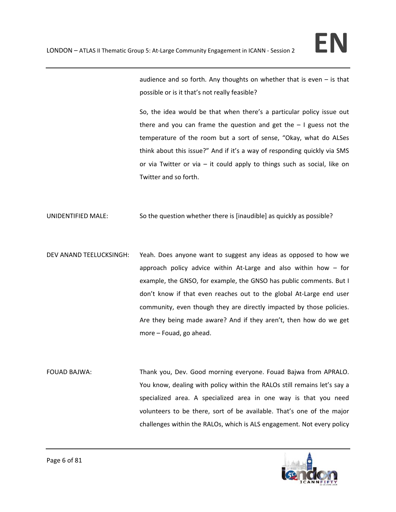audience and so forth. Any thoughts on whether that is even – is that possible or is it that's not really feasible?

So, the idea would be that when there's a particular policy issue out there and you can frame the question and get the  $-1$  guess not the temperature of the room but a sort of sense, "Okay, what do ALSes think about this issue?" And if it's a way of responding quickly via SMS or via Twitter or via – it could apply to things such as social, like on Twitter and so forth.

UNIDENTIFIED MALE: So the question whether there is [inaudible] as quickly as possible?

- DEV ANAND TEELUCKSINGH: Yeah. Does anyone want to suggest any ideas as opposed to how we approach policy advice within At-Large and also within how  $-$  for example, the GNSO, for example, the GNSO has public comments. But I don't know if that even reaches out to the global At‐Large end user community, even though they are directly impacted by those policies. Are they being made aware? And if they aren't, then how do we get more – Fouad, go ahead.
- FOUAD BAJWA: Thank you, Dev. Good morning everyone. Fouad Bajwa from APRALO. You know, dealing with policy within the RALOs still remains let's say a specialized area. A specialized area in one way is that you need volunteers to be there, sort of be available. That's one of the major challenges within the RALOs, which is ALS engagement. Not every policy

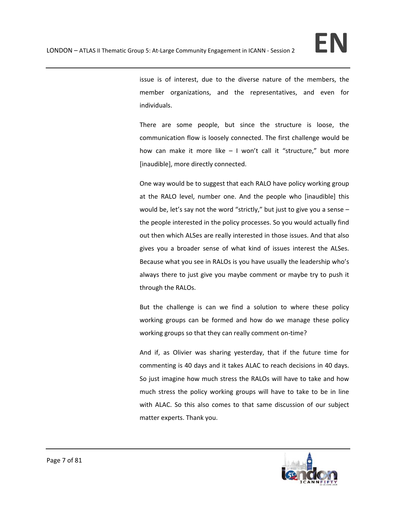issue is of interest, due to the diverse nature of the members, the member organizations, and the representatives, and even for individuals.

There are some people, but since the structure is loose, the communication flow is loosely connected. The first challenge would be how can make it more like  $-1$  won't call it "structure," but more [inaudible], more directly connected.

One way would be to suggest that each RALO have policy working group at the RALO level, number one. And the people who [inaudible] this would be, let's say not the word "strictly," but just to give you a sense – the people interested in the policy processes. So you would actually find out then which ALSes are really interested in those issues. And that also gives you a broader sense of what kind of issues interest the ALSes. Because what you see in RALOs is you have usually the leadership who's always there to just give you maybe comment or maybe try to push it through the RALOs.

But the challenge is can we find a solution to where these policy working groups can be formed and how do we manage these policy working groups so that they can really comment on‐time?

And if, as Olivier was sharing yesterday, that if the future time for commenting is 40 days and it takes ALAC to reach decisions in 40 days. So just imagine how much stress the RALOs will have to take and how much stress the policy working groups will have to take to be in line with ALAC. So this also comes to that same discussion of our subject matter experts. Thank you.

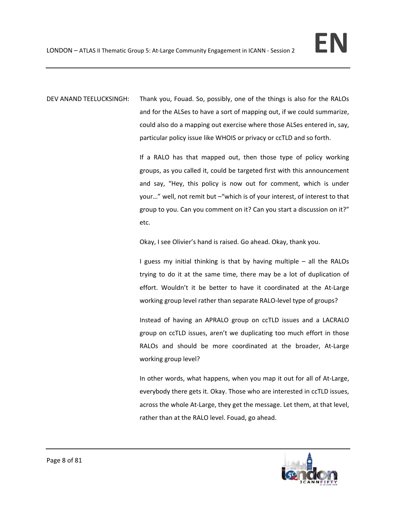DEV ANAND TEELUCKSINGH: Thank you, Fouad. So, possibly, one of the things is also for the RALOs and for the ALSes to have a sort of mapping out, if we could summarize, could also do a mapping out exercise where those ALSes entered in, say, particular policy issue like WHOIS or privacy or ccTLD and so forth.

> If a RALO has that mapped out, then those type of policy working groups, as you called it, could be targeted first with this announcement and say, "Hey, this policy is now out for comment, which is under your…" well, not remit but –"which is of your interest, of interest to that group to you. Can you comment on it? Can you start a discussion on it?" etc.

Okay, I see Olivier's hand is raised. Go ahead. Okay, thank you.

I guess my initial thinking is that by having multiple – all the RALOs trying to do it at the same time, there may be a lot of duplication of effort. Wouldn't it be better to have it coordinated at the At‐Large working group level rather than separate RALO‐level type of groups?

Instead of having an APRALO group on ccTLD issues and a LACRALO group on ccTLD issues, aren't we duplicating too much effort in those RALOs and should be more coordinated at the broader, At-Large working group level?

In other words, what happens, when you map it out for all of At‐Large, everybody there gets it. Okay. Those who are interested in ccTLD issues, across the whole At-Large, they get the message. Let them, at that level, rather than at the RALO level. Fouad, go ahead.

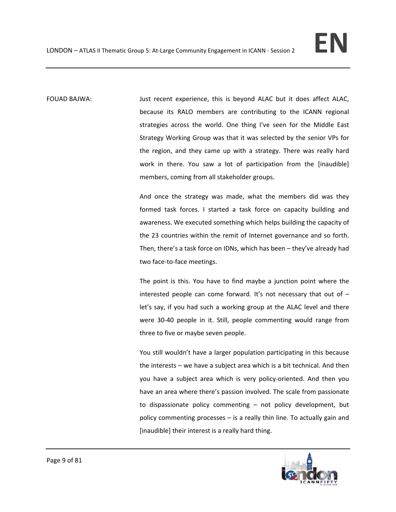FOUAD BAJWA: Just recent experience, this is beyond ALAC but it does affect ALAC, because its RALO members are contributing to the ICANN regional strategies across the world. One thing I've seen for the Middle East Strategy Working Group was that it was selected by the senior VPs for the region, and they came up with a strategy. There was really hard work in there. You saw a lot of participation from the [inaudible] members, coming from all stakeholder groups.

> And once the strategy was made, what the members did was they formed task forces. I started a task force on capacity building and awareness. We executed something which helps building the capacity of the 23 countries within the remit of Internet governance and so forth. Then, there's a task force on IDNs, which has been – they've already had two face‐to‐face meetings.

> The point is this. You have to find maybe a junction point where the interested people can come forward. It's not necessary that out of  $$ let's say, if you had such a working group at the ALAC level and there were 30-40 people in it. Still, people commenting would range from three to five or maybe seven people.

> You still wouldn't have a larger population participating in this because the interests – we have a subject area which is a bit technical. And then you have a subject area which is very policy-oriented. And then you have an area where there's passion involved. The scale from passionate to dispassionate policy commenting – not policy development, but policy commenting processes – is a really thin line. To actually gain and [inaudible] their interest is a really hard thing.

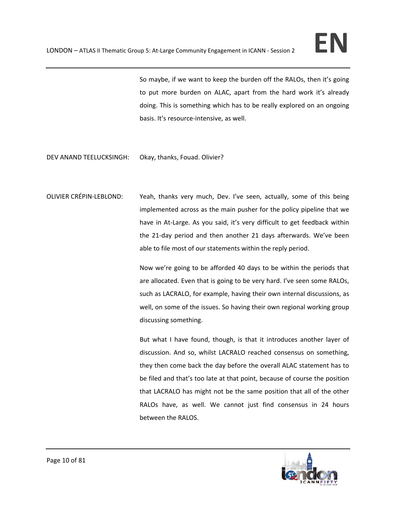So maybe, if we want to keep the burden off the RALOs, then it's going to put more burden on ALAC, apart from the hard work it's already doing. This is something which has to be really explored on an ongoing basis. It's resource‐intensive, as well.

- DEV ANAND TEELUCKSINGH: Okay, thanks, Fouad. Olivier?
- OLIVIER CRÉPIN‐LEBLOND: Yeah, thanks very much, Dev. I've seen, actually, some of this being implemented across as the main pusher for the policy pipeline that we have in At-Large. As you said, it's very difficult to get feedback within the 21‐day period and then another 21 days afterwards. We've been able to file most of our statements within the reply period.

Now we're going to be afforded 40 days to be within the periods that are allocated. Even that is going to be very hard. I've seen some RALOs, such as LACRALO, for example, having their own internal discussions, as well, on some of the issues. So having their own regional working group discussing something.

But what I have found, though, is that it introduces another layer of discussion. And so, whilst LACRALO reached consensus on something, they then come back the day before the overall ALAC statement has to be filed and that's too late at that point, because of course the position that LACRALO has might not be the same position that all of the other RALOs have, as well. We cannot just find consensus in 24 hours between the RALOS.

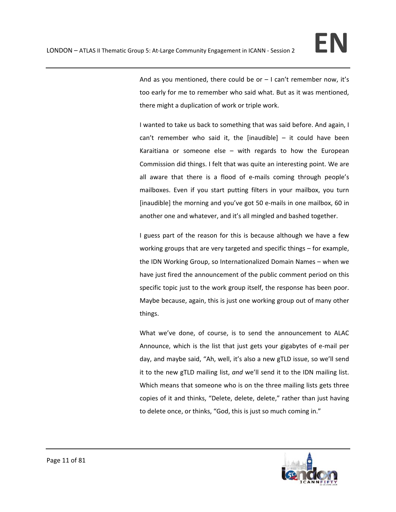And as you mentioned, there could be or  $-1$  can't remember now, it's too early for me to remember who said what. But as it was mentioned, there might a duplication of work or triple work.

I wanted to take us back to something that was said before. And again, I can't remember who said it, the [inaudible]  $-$  it could have been Karaitiana or someone else  $-$  with regards to how the European Commission did things. I felt that was quite an interesting point. We are all aware that there is a flood of e-mails coming through people's mailboxes. Even if you start putting filters in your mailbox, you turn [inaudible] the morning and you've got 50 e-mails in one mailbox, 60 in another one and whatever, and it's all mingled and bashed together.

I guess part of the reason for this is because although we have a few working groups that are very targeted and specific things – for example, the IDN Working Group, so Internationalized Domain Names – when we have just fired the announcement of the public comment period on this specific topic just to the work group itself, the response has been poor. Maybe because, again, this is just one working group out of many other things.

What we've done, of course, is to send the announcement to ALAC Announce, which is the list that just gets your gigabytes of e‐mail per day, and maybe said, "Ah, well, it's also a new gTLD issue, so we'll send it to the new gTLD mailing list, *and* we'll send it to the IDN mailing list. Which means that someone who is on the three mailing lists gets three copies of it and thinks, "Delete, delete, delete," rather than just having to delete once, or thinks, "God, this is just so much coming in."

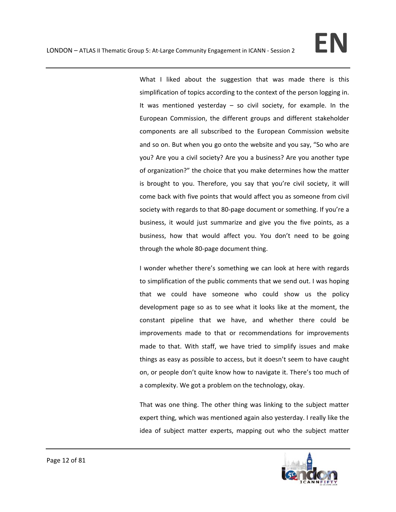What I liked about the suggestion that was made there is this simplification of topics according to the context of the person logging in. It was mentioned yesterday – so civil society, for example. In the European Commission, the different groups and different stakeholder components are all subscribed to the European Commission website and so on. But when you go onto the website and you say, "So who are you? Are you a civil society? Are you a business? Are you another type of organization?" the choice that you make determines how the matter is brought to you. Therefore, you say that you're civil society, it will come back with five points that would affect you as someone from civil society with regards to that 80-page document or something. If you're a business, it would just summarize and give you the five points, as a business, how that would affect you. You don't need to be going through the whole 80‐page document thing.

I wonder whether there's something we can look at here with regards to simplification of the public comments that we send out. I was hoping that we could have someone who could show us the policy development page so as to see what it looks like at the moment, the constant pipeline that we have, and whether there could be improvements made to that or recommendations for improvements made to that. With staff, we have tried to simplify issues and make things as easy as possible to access, but it doesn't seem to have caught on, or people don't quite know how to navigate it. There's too much of a complexity. We got a problem on the technology, okay.

That was one thing. The other thing was linking to the subject matter expert thing, which was mentioned again also yesterday. I really like the idea of subject matter experts, mapping out who the subject matter

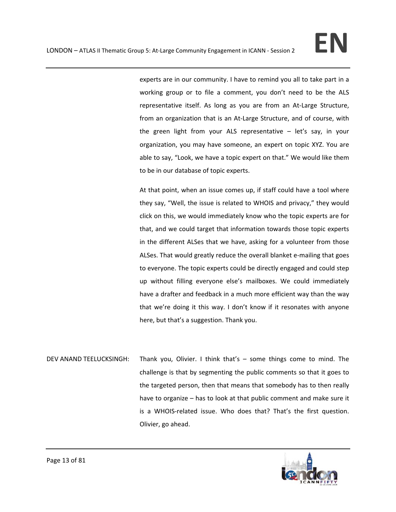experts are in our community. I have to remind you all to take part in a working group or to file a comment, you don't need to be the ALS representative itself. As long as you are from an At‐Large Structure, from an organization that is an At-Large Structure, and of course, with the green light from your ALS representative – let's say, in your organization, you may have someone, an expert on topic XYZ. You are able to say, "Look, we have a topic expert on that." We would like them to be in our database of topic experts.

At that point, when an issue comes up, if staff could have a tool where they say, "Well, the issue is related to WHOIS and privacy," they would click on this, we would immediately know who the topic experts are for that, and we could target that information towards those topic experts in the different ALSes that we have, asking for a volunteer from those ALSes. That would greatly reduce the overall blanket e‐mailing that goes to everyone. The topic experts could be directly engaged and could step up without filling everyone else's mailboxes. We could immediately have a drafter and feedback in a much more efficient way than the way that we're doing it this way. I don't know if it resonates with anyone here, but that's a suggestion. Thank you.

DEV ANAND TEELUCKSINGH: Thank you, Olivier. I think that's – some things come to mind. The challenge is that by segmenting the public comments so that it goes to the targeted person, then that means that somebody has to then really have to organize – has to look at that public comment and make sure it is a WHOIS‐related issue. Who does that? That's the first question. Olivier, go ahead.

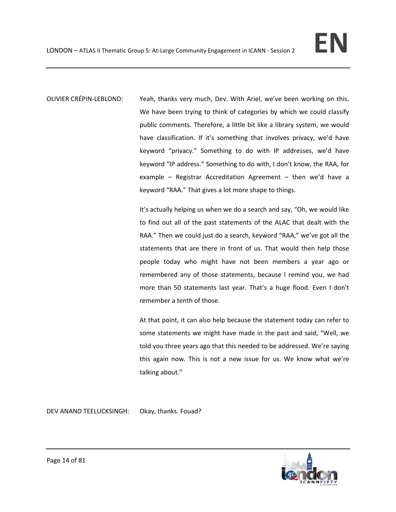OLIVIER CRÉPIN‐LEBLOND: Yeah, thanks very much, Dev. With Ariel, we've been working on this. We have been trying to think of categories by which we could classify public comments. Therefore, a little bit like a library system, we would have classification. If it's something that involves privacy, we'd have keyword "privacy." Something to do with IP addresses, we'd have keyword "IP address." Something to do with, I don't know, the RAA, for example – Registrar Accreditation Agreement – then we'd have a keyword "RAA." That gives a lot more shape to things.

> It's actually helping us when we do a search and say, "Oh, we would like to find out all of the past statements of the ALAC that dealt with the RAA." Then we could just do a search, keyword "RAA," we've got all the statements that are there in front of us. That would then help those people today who might have not been members a year ago or remembered any of those statements, because I remind you, we had more than 50 statements last year. That's a huge flood. Even I don't remember a tenth of those.

> At that point, it can also help because the statement today can refer to some statements we might have made in the past and said, "Well, we told you three years ago that this needed to be addressed. We're saying this again now. This is not a new issue for us. We know what we're talking about."

DEV ANAND TEELUCKSINGH: Okay, thanks. Fouad?

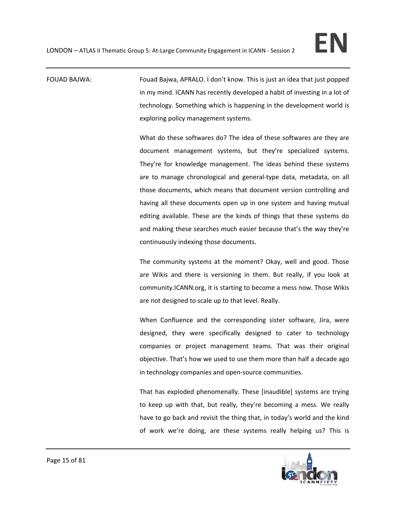FOUAD BAJWA: Fouad Bajwa, APRALO. I don't know. This is just an idea that just popped in my mind. ICANN has recently developed a habit of investing in a lot of technology. Something which is happening in the development world is exploring policy management systems.

> What do these softwares do? The idea of these softwares are they are document management systems, but they're specialized systems. They're for knowledge management. The ideas behind these systems are to manage chronological and general-type data, metadata, on all those documents, which means that document version controlling and having all these documents open up in one system and having mutual editing available. These are the kinds of things that these systems do and making these searches much easier because that's the way they're continuously indexing those documents.

> The community systems at the moment? Okay, well and good. Those are Wikis and there is versioning in them. But really, if you look at community.ICANN.org, it is starting to become a mess now. Those Wikis are not designed to scale up to that level. Really.

> When Confluence and the corresponding sister software, Jira, were designed, they were specifically designed to cater to technology companies or project management teams. That was their original objective. That's how we used to use them more than half a decade ago in technology companies and open‐source communities.

> That has exploded phenomenally. These [inaudible] systems are trying to keep up with that, but really, they're becoming a mess. We really have to go back and revisit the thing that, in today's world and the kind of work we're doing, are these systems really helping us? This is

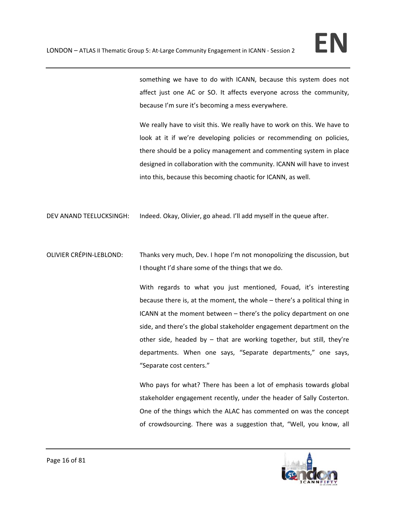something we have to do with ICANN, because this system does not affect just one AC or SO. It affects everyone across the community, because I'm sure it's becoming a mess everywhere.

We really have to visit this. We really have to work on this. We have to look at it if we're developing policies or recommending on policies, there should be a policy management and commenting system in place designed in collaboration with the community. ICANN will have to invest into this, because this becoming chaotic for ICANN, as well.

DEV ANAND TEELUCKSINGH: Indeed. Okay, Olivier, go ahead. I'll add myself in the queue after.

OLIVIER CRÉPIN‐LEBLOND: Thanks very much, Dev. I hope I'm not monopolizing the discussion, but I thought I'd share some of the things that we do.

> With regards to what you just mentioned, Fouad, it's interesting because there is, at the moment, the whole – there's a political thing in ICANN at the moment between – there's the policy department on one side, and there's the global stakeholder engagement department on the other side, headed by  $-$  that are working together, but still, they're departments. When one says, "Separate departments," one says, "Separate cost centers."

> Who pays for what? There has been a lot of emphasis towards global stakeholder engagement recently, under the header of Sally Costerton. One of the things which the ALAC has commented on was the concept of crowdsourcing. There was a suggestion that, "Well, you know, all

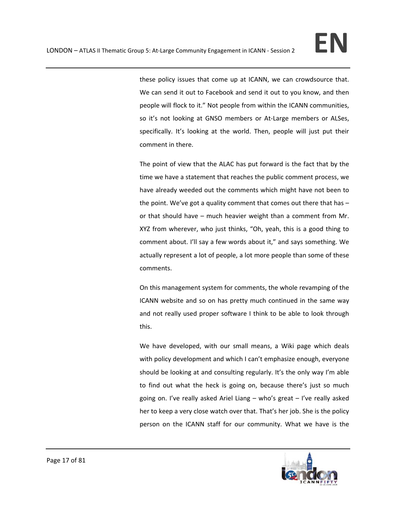these policy issues that come up at ICANN, we can crowdsource that. We can send it out to Facebook and send it out to you know, and then people will flock to it." Not people from within the ICANN communities, so it's not looking at GNSO members or At-Large members or ALSes, specifically. It's looking at the world. Then, people will just put their comment in there.

The point of view that the ALAC has put forward is the fact that by the time we have a statement that reaches the public comment process, we have already weeded out the comments which might have not been to the point. We've got a quality comment that comes out there that has – or that should have – much heavier weight than a comment from Mr. XYZ from wherever, who just thinks, "Oh, yeah, this is a good thing to comment about. I'll say a few words about it," and says something. We actually represent a lot of people, a lot more people than some of these comments.

On this management system for comments, the whole revamping of the ICANN website and so on has pretty much continued in the same way and not really used proper software I think to be able to look through this.

We have developed, with our small means, a Wiki page which deals with policy development and which I can't emphasize enough, everyone should be looking at and consulting regularly. It's the only way I'm able to find out what the heck is going on, because there's just so much going on. I've really asked Ariel Liang – who's great – I've really asked her to keep a very close watch over that. That's her job. She is the policy person on the ICANN staff for our community. What we have is the

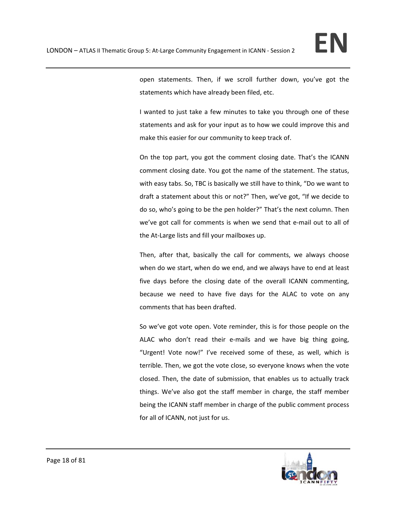open statements. Then, if we scroll further down, you've got the statements which have already been filed, etc.

I wanted to just take a few minutes to take you through one of these statements and ask for your input as to how we could improve this and make this easier for our community to keep track of.

On the top part, you got the comment closing date. That's the ICANN comment closing date. You got the name of the statement. The status, with easy tabs. So, TBC is basically we still have to think, "Do we want to draft a statement about this or not?" Then, we've got, "If we decide to do so, who's going to be the pen holder?" That's the next column. Then we've got call for comments is when we send that e-mail out to all of the At-Large lists and fill your mailboxes up.

Then, after that, basically the call for comments, we always choose when do we start, when do we end, and we always have to end at least five days before the closing date of the overall ICANN commenting, because we need to have five days for the ALAC to vote on any comments that has been drafted.

So we've got vote open. Vote reminder, this is for those people on the ALAC who don't read their e‐mails and we have big thing going, "Urgent! Vote now!" I've received some of these, as well, which is terrible. Then, we got the vote close, so everyone knows when the vote closed. Then, the date of submission, that enables us to actually track things. We've also got the staff member in charge, the staff member being the ICANN staff member in charge of the public comment process for all of ICANN, not just for us.

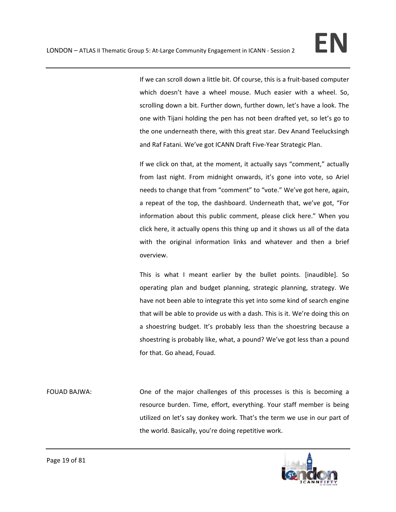If we can scroll down a little bit. Of course, this is a fruit-based computer which doesn't have a wheel mouse. Much easier with a wheel. So, scrolling down a bit. Further down, further down, let's have a look. The one with Tijani holding the pen has not been drafted yet, so let's go to the one underneath there, with this great star. Dev Anand Teelucksingh and Raf Fatani. We've got ICANN Draft Five‐Year Strategic Plan.

If we click on that, at the moment, it actually says "comment," actually from last night. From midnight onwards, it's gone into vote, so Ariel needs to change that from "comment" to "vote." We've got here, again, a repeat of the top, the dashboard. Underneath that, we've got, "For information about this public comment, please click here." When you click here, it actually opens this thing up and it shows us all of the data with the original information links and whatever and then a brief overview.

This is what I meant earlier by the bullet points. [inaudible]. So operating plan and budget planning, strategic planning, strategy. We have not been able to integrate this yet into some kind of search engine that will be able to provide us with a dash. This is it. We're doing this on a shoestring budget. It's probably less than the shoestring because a shoestring is probably like, what, a pound? We've got less than a pound for that. Go ahead, Fouad.

FOUAD BAJWA: One of the major challenges of this processes is this is becoming a resource burden. Time, effort, everything. Your staff member is being utilized on let's say donkey work. That's the term we use in our part of the world. Basically, you're doing repetitive work.

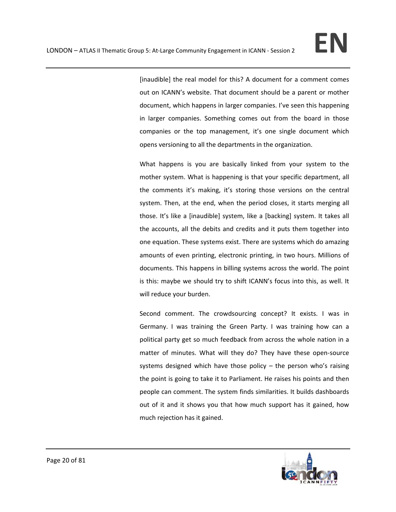[inaudible] the real model for this? A document for a comment comes out on ICANN's website. That document should be a parent or mother document, which happens in larger companies. I've seen this happening in larger companies. Something comes out from the board in those companies or the top management, it's one single document which opens versioning to all the departments in the organization.

What happens is you are basically linked from your system to the mother system. What is happening is that your specific department, all the comments it's making, it's storing those versions on the central system. Then, at the end, when the period closes, it starts merging all those. It's like a [inaudible] system, like a [backing] system. It takes all the accounts, all the debits and credits and it puts them together into one equation. These systems exist. There are systems which do amazing amounts of even printing, electronic printing, in two hours. Millions of documents. This happens in billing systems across the world. The point is this: maybe we should try to shift ICANN's focus into this, as well. It will reduce your burden.

Second comment. The crowdsourcing concept? It exists. I was in Germany. I was training the Green Party. I was training how can a political party get so much feedback from across the whole nation in a matter of minutes. What will they do? They have these open-source systems designed which have those policy – the person who's raising the point is going to take it to Parliament. He raises his points and then people can comment. The system finds similarities. It builds dashboards out of it and it shows you that how much support has it gained, how much rejection has it gained.

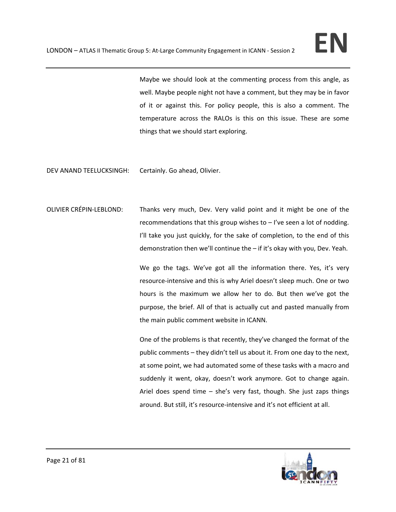Maybe we should look at the commenting process from this angle, as well. Maybe people night not have a comment, but they may be in favor of it or against this. For policy people, this is also a comment. The temperature across the RALOs is this on this issue. These are some things that we should start exploring.

DEV ANAND TEELUCKSINGH: Certainly. Go ahead, Olivier.

OLIVIER CRÉPIN‐LEBLOND: Thanks very much, Dev. Very valid point and it might be one of the recommendations that this group wishes to – I've seen a lot of nodding. I'll take you just quickly, for the sake of completion, to the end of this demonstration then we'll continue the – if it's okay with you, Dev. Yeah.

> We go the tags. We've got all the information there. Yes, it's very resource‐intensive and this is why Ariel doesn't sleep much. One or two hours is the maximum we allow her to do. But then we've got the purpose, the brief. All of that is actually cut and pasted manually from the main public comment website in ICANN.

> One of the problems is that recently, they've changed the format of the public comments – they didn't tell us about it. From one day to the next, at some point, we had automated some of these tasks with a macro and suddenly it went, okay, doesn't work anymore. Got to change again. Ariel does spend time  $-$  she's very fast, though. She just zaps things around. But still, it's resource‐intensive and it's not efficient at all.

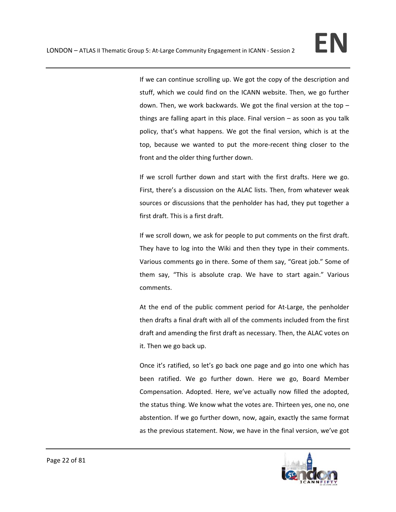If we can continue scrolling up. We got the copy of the description and stuff, which we could find on the ICANN website. Then, we go further down. Then, we work backwards. We got the final version at the top – things are falling apart in this place. Final version – as soon as you talk policy, that's what happens. We got the final version, which is at the top, because we wanted to put the more‐recent thing closer to the front and the older thing further down.

If we scroll further down and start with the first drafts. Here we go. First, there's a discussion on the ALAC lists. Then, from whatever weak sources or discussions that the penholder has had, they put together a first draft. This is a first draft.

If we scroll down, we ask for people to put comments on the first draft. They have to log into the Wiki and then they type in their comments. Various comments go in there. Some of them say, "Great job." Some of them say, "This is absolute crap. We have to start again." Various comments.

At the end of the public comment period for At-Large, the penholder then drafts a final draft with all of the comments included from the first draft and amending the first draft as necessary. Then, the ALAC votes on it. Then we go back up.

Once it's ratified, so let's go back one page and go into one which has been ratified. We go further down. Here we go, Board Member Compensation. Adopted. Here, we've actually now filled the adopted, the status thing. We know what the votes are. Thirteen yes, one no, one abstention. If we go further down, now, again, exactly the same format as the previous statement. Now, we have in the final version, we've got

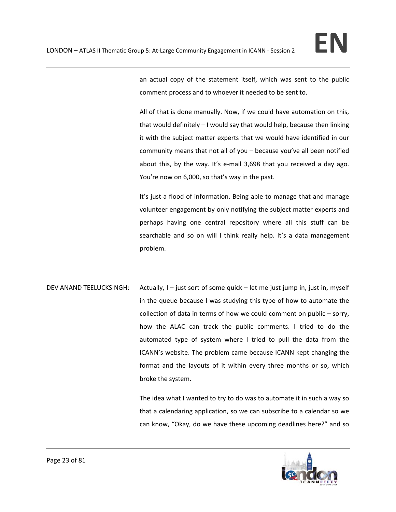

an actual copy of the statement itself, which was sent to the public comment process and to whoever it needed to be sent to.

All of that is done manually. Now, if we could have automation on this, that would definitely – I would say that would help, because then linking it with the subject matter experts that we would have identified in our community means that not all of you – because you've all been notified about this, by the way. It's e‐mail 3,698 that you received a day ago. You're now on 6,000, so that's way in the past.

It's just a flood of information. Being able to manage that and manage volunteer engagement by only notifying the subject matter experts and perhaps having one central repository where all this stuff can be searchable and so on will I think really help. It's a data management problem.

DEV ANAND TEELUCKSINGH: Actually, I – just sort of some quick – let me just jump in, just in, myself in the queue because I was studying this type of how to automate the collection of data in terms of how we could comment on public – sorry, how the ALAC can track the public comments. I tried to do the automated type of system where I tried to pull the data from the ICANN's website. The problem came because ICANN kept changing the format and the layouts of it within every three months or so, which broke the system.

> The idea what I wanted to try to do was to automate it in such a way so that a calendaring application, so we can subscribe to a calendar so we can know, "Okay, do we have these upcoming deadlines here?" and so

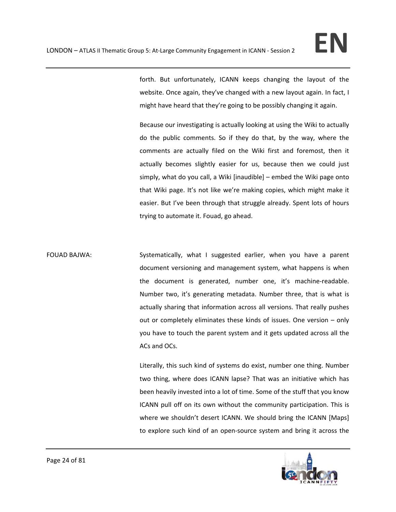forth. But unfortunately, ICANN keeps changing the layout of the website. Once again, they've changed with a new layout again. In fact, I might have heard that they're going to be possibly changing it again.

Because our investigating is actually looking at using the Wiki to actually do the public comments. So if they do that, by the way, where the comments are actually filed on the Wiki first and foremost, then it actually becomes slightly easier for us, because then we could just simply, what do you call, a Wiki [inaudible] – embed the Wiki page onto that Wiki page. It's not like we're making copies, which might make it easier. But I've been through that struggle already. Spent lots of hours trying to automate it. Fouad, go ahead.

FOUAD BAJWA: Systematically, what I suggested earlier, when you have a parent document versioning and management system, what happens is when the document is generated, number one, it's machine‐readable. Number two, it's generating metadata. Number three, that is what is actually sharing that information across all versions. That really pushes out or completely eliminates these kinds of issues. One version – only you have to touch the parent system and it gets updated across all the ACs and OCs.

> Literally, this such kind of systems do exist, number one thing. Number two thing, where does ICANN lapse? That was an initiative which has been heavily invested into a lot of time. Some of the stuff that you know ICANN pull off on its own without the community participation. This is where we shouldn't desert ICANN. We should bring the ICANN [Maps] to explore such kind of an open‐source system and bring it across the

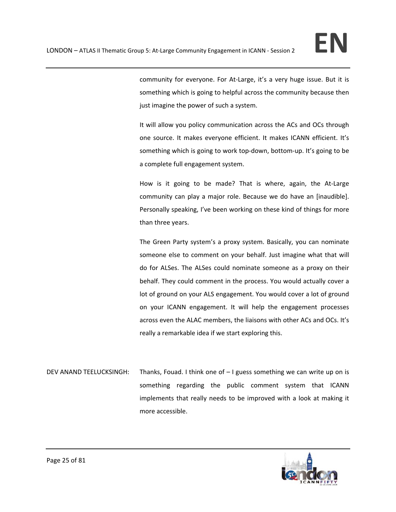community for everyone. For At-Large, it's a very huge issue. But it is something which is going to helpful across the community because then just imagine the power of such a system.

It will allow you policy communication across the ACs and OCs through one source. It makes everyone efficient. It makes ICANN efficient. It's something which is going to work top-down, bottom-up. It's going to be a complete full engagement system.

How is it going to be made? That is where, again, the At-Large community can play a major role. Because we do have an [inaudible]. Personally speaking, I've been working on these kind of things for more than three years.

The Green Party system's a proxy system. Basically, you can nominate someone else to comment on your behalf. Just imagine what that will do for ALSes. The ALSes could nominate someone as a proxy on their behalf. They could comment in the process. You would actually cover a lot of ground on your ALS engagement. You would cover a lot of ground on your ICANN engagement. It will help the engagement processes across even the ALAC members, the liaisons with other ACs and OCs. It's really a remarkable idea if we start exploring this.

DEV ANAND TEELUCKSINGH: Thanks, Fouad. I think one of – I guess something we can write up on is something regarding the public comment system that ICANN implements that really needs to be improved with a look at making it more accessible.

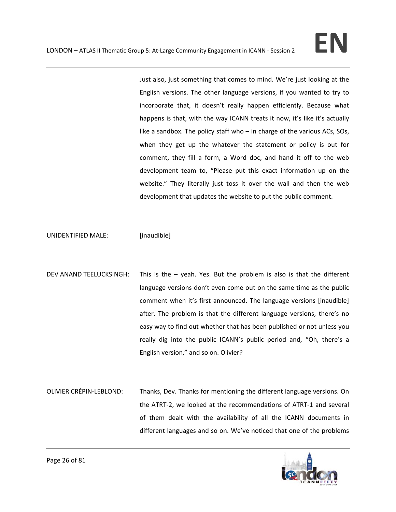Just also, just something that comes to mind. We're just looking at the English versions. The other language versions, if you wanted to try to incorporate that, it doesn't really happen efficiently. Because what happens is that, with the way ICANN treats it now, it's like it's actually like a sandbox. The policy staff who – in charge of the various ACs, SOs, when they get up the whatever the statement or policy is out for comment, they fill a form, a Word doc, and hand it off to the web development team to, "Please put this exact information up on the website." They literally just toss it over the wall and then the web development that updates the website to put the public comment.

UNIDENTIFIED MALE: [inaudible]

- DEV ANAND TEELUCKSINGH: This is the yeah. Yes. But the problem is also is that the different language versions don't even come out on the same time as the public comment when it's first announced. The language versions [inaudible] after. The problem is that the different language versions, there's no easy way to find out whether that has been published or not unless you really dig into the public ICANN's public period and, "Oh, there's a English version," and so on. Olivier?
- OLIVIER CRÉPIN‐LEBLOND: Thanks, Dev. Thanks for mentioning the different language versions. On the ATRT‐2, we looked at the recommendations of ATRT‐1 and several of them dealt with the availability of all the ICANN documents in different languages and so on. We've noticed that one of the problems

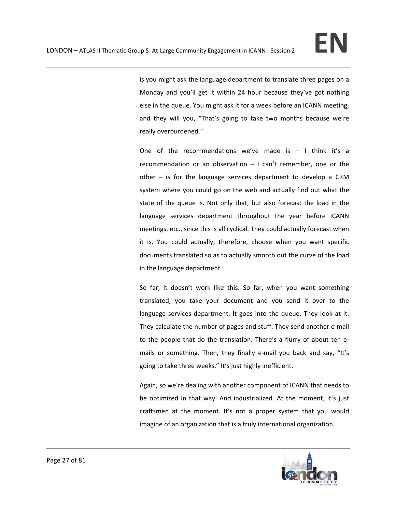is you might ask the language department to translate three pages on a Monday and you'll get it within 24 hour because they've got nothing else in the queue. You might ask it for a week before an ICANN meeting, and they will you, "That's going to take two months because we're really overburdened."

One of the recommendations we've made is  $-1$  think it's a recommendation or an observation – I can't remember, one or the other – is for the language services department to develop a CRM system where you could go on the web and actually find out what the state of the queue is. Not only that, but also forecast the load in the language services department throughout the year before ICANN meetings, etc., since this is all cyclical. They could actually forecast when it is. You could actually, therefore, choose when you want specific documents translated so as to actually smooth out the curve of the load in the language department.

So far, it doesn't work like this. So far, when you want something translated, you take your document and you send it over to the language services department. It goes into the queue. They look at it. They calculate the number of pages and stuff. They send another e‐mail to the people that do the translation. There's a flurry of about ten e‐ mails or something. Then, they finally e-mail you back and say, "It's going to take three weeks." It's just highly inefficient.

Again, so we're dealing with another component of ICANN that needs to be optimized in that way. And industrialized. At the moment, it's just craftsmen at the moment. It's not a proper system that you would imagine of an organization that is a truly international organization.

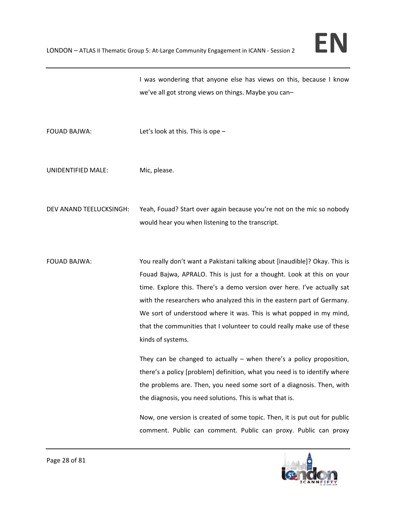I was wondering that anyone else has views on this, because I know we've all got strong views on things. Maybe you can–

FOUAD BAJWA: Let's look at this. This is ope –

UNIDENTIFIED MALE: Mic, please.

DEV ANAND TEELUCKSINGH: Yeah, Fouad? Start over again because you're not on the mic so nobody would hear you when listening to the transcript.

FOUAD BAJWA: You really don't want a Pakistani talking about [inaudible]? Okay. This is Fouad Bajwa, APRALO. This is just for a thought. Look at this on your time. Explore this. There's a demo version over here. I've actually sat with the researchers who analyzed this in the eastern part of Germany. We sort of understood where it was. This is what popped in my mind, that the communities that I volunteer to could really make use of these kinds of systems.

> They can be changed to actually  $-$  when there's a policy proposition, there's a policy [problem] definition, what you need is to identify where the problems are. Then, you need some sort of a diagnosis. Then, with the diagnosis, you need solutions. This is what that is.

> Now, one version is created of some topic. Then, it is put out for public comment. Public can comment. Public can proxy. Public can proxy

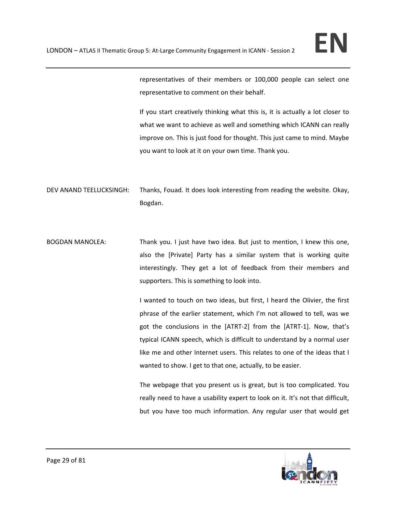representatives of their members or 100,000 people can select one representative to comment on their behalf.

If you start creatively thinking what this is, it is actually a lot closer to what we want to achieve as well and something which ICANN can really improve on. This is just food for thought. This just came to mind. Maybe you want to look at it on your own time. Thank you.

DEV ANAND TEELUCKSINGH: Thanks, Fouad. It does look interesting from reading the website. Okay, Bogdan.

BOGDAN MANOLEA: Thank you. I just have two idea. But just to mention, I knew this one, also the [Private] Party has a similar system that is working quite interestingly. They get a lot of feedback from their members and supporters. This is something to look into.

> I wanted to touch on two ideas, but first, I heard the Olivier, the first phrase of the earlier statement, which I'm not allowed to tell, was we got the conclusions in the [ATRT‐2] from the [ATRT‐1]. Now, that's typical ICANN speech, which is difficult to understand by a normal user like me and other Internet users. This relates to one of the ideas that I wanted to show. I get to that one, actually, to be easier.

> The webpage that you present us is great, but is too complicated. You really need to have a usability expert to look on it. It's not that difficult, but you have too much information. Any regular user that would get

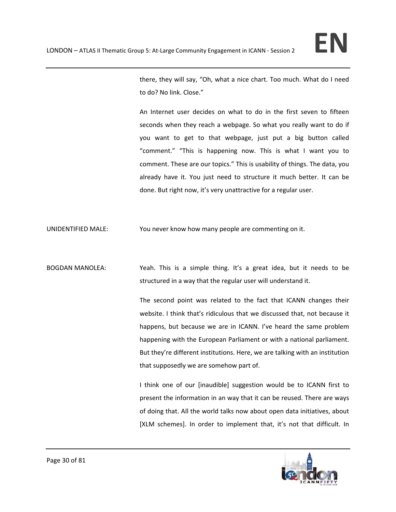there, they will say, "Oh, what a nice chart. Too much. What do I need to do? No link. Close."

An Internet user decides on what to do in the first seven to fifteen seconds when they reach a webpage. So what you really want to do if you want to get to that webpage, just put a big button called "comment." "This is happening now. This is what I want you to comment. These are our topics." This is usability of things. The data, you already have it. You just need to structure it much better. It can be done. But right now, it's very unattractive for a regular user.

UNIDENTIFIED MALE: You never know how many people are commenting on it.

BOGDAN MANOLEA: Yeah. This is a simple thing. It's a great idea, but it needs to be structured in a way that the regular user will understand it.

> The second point was related to the fact that ICANN changes their website. I think that's ridiculous that we discussed that, not because it happens, but because we are in ICANN. I've heard the same problem happening with the European Parliament or with a national parliament. But they're different institutions. Here, we are talking with an institution that supposedly we are somehow part of.

> I think one of our [inaudible] suggestion would be to ICANN first to present the information in an way that it can be reused. There are ways of doing that. All the world talks now about open data initiatives, about [XLM schemes]. In order to implement that, it's not that difficult. In

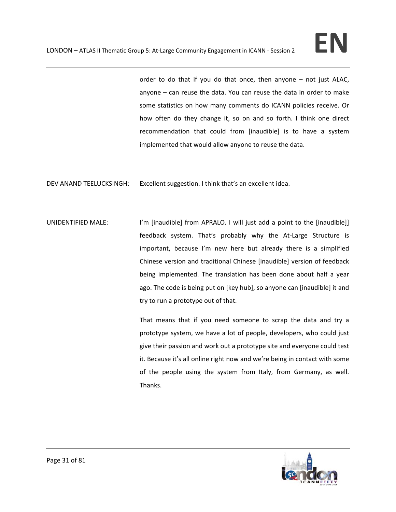order to do that if you do that once, then anyone – not just ALAC, anyone – can reuse the data. You can reuse the data in order to make some statistics on how many comments do ICANN policies receive. Or how often do they change it, so on and so forth. I think one direct recommendation that could from [inaudible] is to have a system implemented that would allow anyone to reuse the data.

DEV ANAND TEELUCKSINGH: Excellent suggestion. I think that's an excellent idea.

UNIDENTIFIED MALE: I'm [inaudible] from APRALO. I will just add a point to the [inaudible]] feedback system. That's probably why the At‐Large Structure is important, because I'm new here but already there is a simplified Chinese version and traditional Chinese [inaudible] version of feedback being implemented. The translation has been done about half a year ago. The code is being put on [key hub], so anyone can [inaudible] it and try to run a prototype out of that.

> That means that if you need someone to scrap the data and try a prototype system, we have a lot of people, developers, who could just give their passion and work out a prototype site and everyone could test it. Because it's all online right now and we're being in contact with some of the people using the system from Italy, from Germany, as well. Thanks.

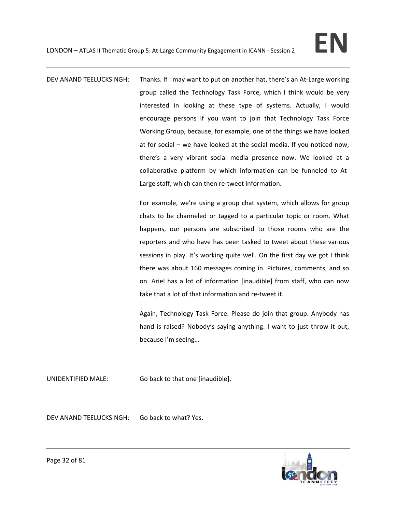DEV ANAND TEELUCKSINGH: Thanks. If I may want to put on another hat, there's an At-Large working group called the Technology Task Force, which I think would be very interested in looking at these type of systems. Actually, I would encourage persons if you want to join that Technology Task Force Working Group, because, for example, one of the things we have looked at for social – we have looked at the social media. If you noticed now, there's a very vibrant social media presence now. We looked at a collaborative platform by which information can be funneled to At‐ Large staff, which can then re‐tweet information.

> For example, we're using a group chat system, which allows for group chats to be channeled or tagged to a particular topic or room. What happens, our persons are subscribed to those rooms who are the reporters and who have has been tasked to tweet about these various sessions in play. It's working quite well. On the first day we got I think there was about 160 messages coming in. Pictures, comments, and so on. Ariel has a lot of information [inaudible] from staff, who can now take that a lot of that information and re‐tweet it.

> Again, Technology Task Force. Please do join that group. Anybody has hand is raised? Nobody's saying anything. I want to just throw it out, because I'm seeing…

UNIDENTIFIED MALE: Go back to that one [inaudible].

DEV ANAND TEELUCKSINGH: Go back to what? Yes.

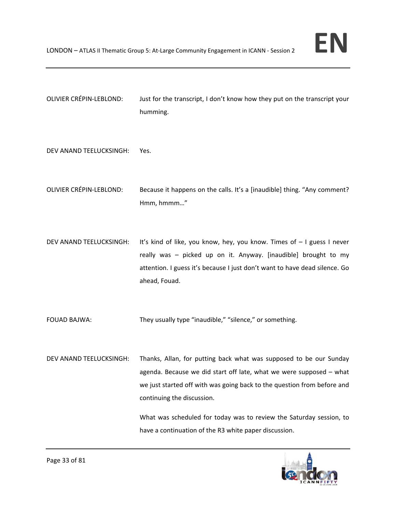

OLIVIER CRÉPIN‐LEBLOND: Just for the transcript, I don't know how they put on the transcript your humming.

DEV ANAND TEELUCKSINGH: Yes.

- OLIVIER CRÉPIN‐LEBLOND: Because it happens on the calls. It's a [inaudible] thing. "Any comment? Hmm, hmmm…"
- DEV ANAND TEELUCKSINGH: It's kind of like, you know, hey, you know. Times of I guess I never really was – picked up on it. Anyway. [inaudible] brought to my attention. I guess it's because I just don't want to have dead silence. Go ahead, Fouad.

FOUAD BAJWA: They usually type "inaudible," "silence," or something.

DEV ANAND TEELUCKSINGH: Thanks, Allan, for putting back what was supposed to be our Sunday agenda. Because we did start off late, what we were supposed – what we just started off with was going back to the question from before and continuing the discussion.

> What was scheduled for today was to review the Saturday session, to have a continuation of the R3 white paper discussion.

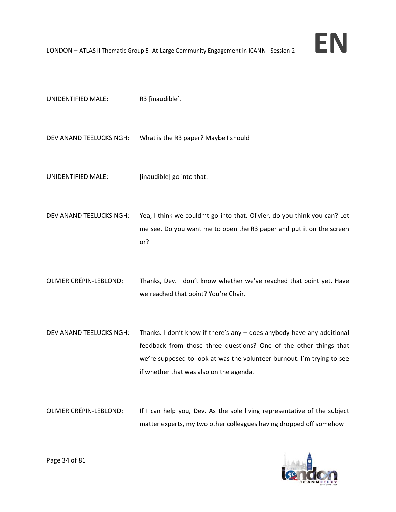| UNIDENTIFIED MALE:             | R3 [inaudible].                                                                                                                                                                                                                                                    |
|--------------------------------|--------------------------------------------------------------------------------------------------------------------------------------------------------------------------------------------------------------------------------------------------------------------|
| DEV ANAND TEELUCKSINGH:        | What is the R3 paper? Maybe I should $-$                                                                                                                                                                                                                           |
| UNIDENTIFIED MALE:             | [inaudible] go into that.                                                                                                                                                                                                                                          |
| DEV ANAND TEELUCKSINGH:        | Yea, I think we couldn't go into that. Olivier, do you think you can? Let<br>me see. Do you want me to open the R3 paper and put it on the screen<br>or?                                                                                                           |
| <b>OLIVIER CRÉPIN-LEBLOND:</b> | Thanks, Dev. I don't know whether we've reached that point yet. Have<br>we reached that point? You're Chair.                                                                                                                                                       |
| DEV ANAND TEELUCKSINGH:        | Thanks. I don't know if there's any $-$ does anybody have any additional<br>feedback from those three questions? One of the other things that<br>we're supposed to look at was the volunteer burnout. I'm trying to see<br>if whether that was also on the agenda. |
| <b>OLIVIER CRÉPIN-LEBLOND:</b> | If I can help you, Dev. As the sole living representative of the subject<br>matter experts, my two other colleagues having dropped off somehow -                                                                                                                   |

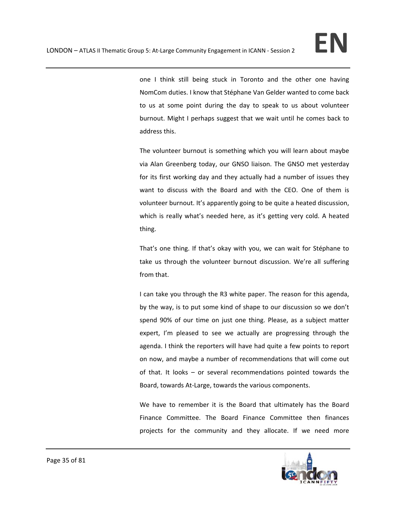one I think still being stuck in Toronto and the other one having NomCom duties. I know that Stéphane Van Gelder wanted to come back to us at some point during the day to speak to us about volunteer burnout. Might I perhaps suggest that we wait until he comes back to address this.

The volunteer burnout is something which you will learn about maybe via Alan Greenberg today, our GNSO liaison. The GNSO met yesterday for its first working day and they actually had a number of issues they want to discuss with the Board and with the CEO. One of them is volunteer burnout. It's apparently going to be quite a heated discussion, which is really what's needed here, as it's getting very cold. A heated thing.

That's one thing. If that's okay with you, we can wait for Stéphane to take us through the volunteer burnout discussion. We're all suffering from that.

I can take you through the R3 white paper. The reason for this agenda, by the way, is to put some kind of shape to our discussion so we don't spend 90% of our time on just one thing. Please, as a subject matter expert, I'm pleased to see we actually are progressing through the agenda. I think the reporters will have had quite a few points to report on now, and maybe a number of recommendations that will come out of that. It looks – or several recommendations pointed towards the Board, towards At‐Large, towards the various components.

We have to remember it is the Board that ultimately has the Board Finance Committee. The Board Finance Committee then finances projects for the community and they allocate. If we need more

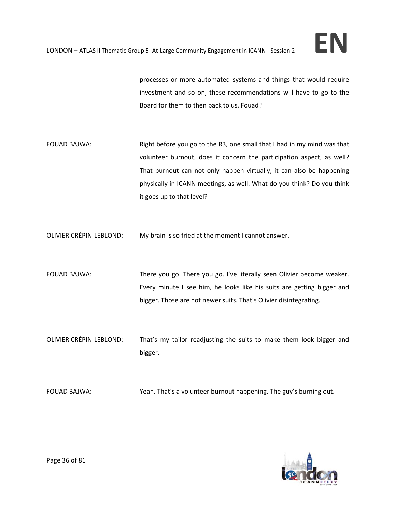processes or more automated systems and things that would require investment and so on, these recommendations will have to go to the Board for them to then back to us. Fouad?

FOUAD BAJWA: Right before you go to the R3, one small that I had in my mind was that volunteer burnout, does it concern the participation aspect, as well? That burnout can not only happen virtually, it can also be happening physically in ICANN meetings, as well. What do you think? Do you think it goes up to that level?

OLIVIER CRÉPIN‐LEBLOND: My brain is so fried at the moment I cannot answer.

- FOUAD BAJWA: There you go. There you go. I've literally seen Olivier become weaker. Every minute I see him, he looks like his suits are getting bigger and bigger. Those are not newer suits. That's Olivier disintegrating.
- OLIVIER CRÉPIN‐LEBLOND: That's my tailor readjusting the suits to make them look bigger and bigger.

FOUAD BAJWA: Yeah. That's a volunteer burnout happening. The guy's burning out.

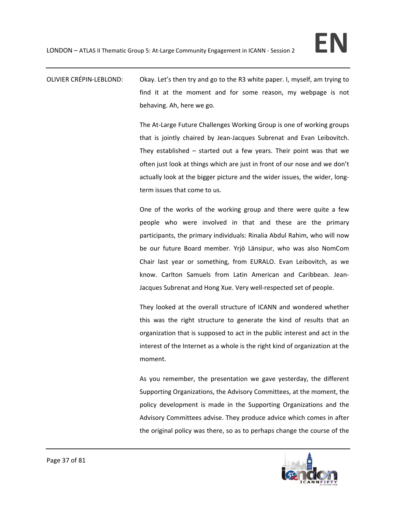# OLIVIER CRÉPIN‐LEBLOND: Okay. Let's then try and go to the R3 white paper. I, myself, am trying to find it at the moment and for some reason, my webpage is not behaving. Ah, here we go.

The At-Large Future Challenges Working Group is one of working groups that is jointly chaired by Jean‐Jacques Subrenat and Evan Leibovitch. They established – started out a few years. Their point was that we often just look at things which are just in front of our nose and we don't actually look at the bigger picture and the wider issues, the wider, long‐ term issues that come to us.

One of the works of the working group and there were quite a few people who were involved in that and these are the primary participants, the primary individuals: Rinalia Abdul Rahim, who will now be our future Board member. Yrjö Länsipur, who was also NomCom Chair last year or something, from EURALO. Evan Leibovitch, as we know. Carlton Samuels from Latin American and Caribbean. Jean‐ Jacques Subrenat and Hong Xue. Very well‐respected set of people.

They looked at the overall structure of ICANN and wondered whether this was the right structure to generate the kind of results that an organization that is supposed to act in the public interest and act in the interest of the Internet as a whole is the right kind of organization at the moment.

As you remember, the presentation we gave yesterday, the different Supporting Organizations, the Advisory Committees, at the moment, the policy development is made in the Supporting Organizations and the Advisory Committees advise. They produce advice which comes in after the original policy was there, so as to perhaps change the course of the

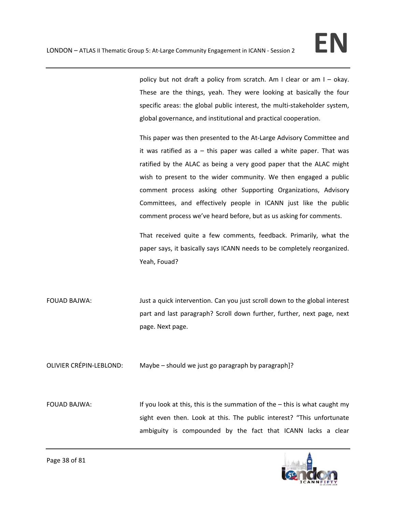policy but not draft a policy from scratch. Am I clear or am I – okay. These are the things, yeah. They were looking at basically the four specific areas: the global public interest, the multi-stakeholder system, global governance, and institutional and practical cooperation.

This paper was then presented to the At-Large Advisory Committee and it was ratified as  $a - th$ is paper was called a white paper. That was ratified by the ALAC as being a very good paper that the ALAC might wish to present to the wider community. We then engaged a public comment process asking other Supporting Organizations, Advisory Committees, and effectively people in ICANN just like the public comment process we've heard before, but as us asking for comments.

That received quite a few comments, feedback. Primarily, what the paper says, it basically says ICANN needs to be completely reorganized. Yeah, Fouad?

FOUAD BAJWA: Just a quick intervention. Can you just scroll down to the global interest part and last paragraph? Scroll down further, further, next page, next page. Next page.

OLIVIER CRÉPIN‐LEBLOND: Maybe – should we just go paragraph by paragraph]?

FOUAD BAJWA: If you look at this, this is the summation of the – this is what caught my sight even then. Look at this. The public interest? "This unfortunate ambiguity is compounded by the fact that ICANN lacks a clear

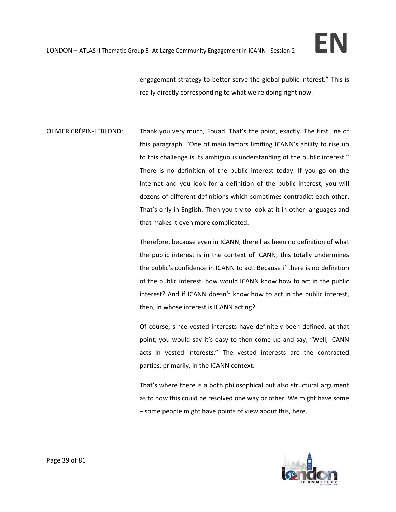engagement strategy to better serve the global public interest." This is really directly corresponding to what we're doing right now.

OLIVIER CRÉPIN‐LEBLOND: Thank you very much, Fouad. That's the point, exactly. The first line of this paragraph. "One of main factors limiting ICANN's ability to rise up to this challenge is its ambiguous understanding of the public interest." There is no definition of the public interest today. If you go on the Internet and you look for a definition of the public interest, you will dozens of different definitions which sometimes contradict each other. That's only in English. Then you try to look at it in other languages and that makes it even more complicated.

> Therefore, because even in ICANN, there has been no definition of what the public interest is in the context of ICANN, this totally undermines the public's confidence in ICANN to act. Because if there is no definition of the public interest, how would ICANN know how to act in the public interest? And if ICANN doesn't know how to act in the public interest, then, in whose interest is ICANN acting?

> Of course, since vested interests have definitely been defined, at that point, you would say it's easy to then come up and say, "Well, ICANN acts in vested interests." The vested interests are the contracted parties, primarily, in the ICANN context.

> That's where there is a both philosophical but also structural argument as to how this could be resolved one way or other. We might have some – some people might have points of view about this, here.

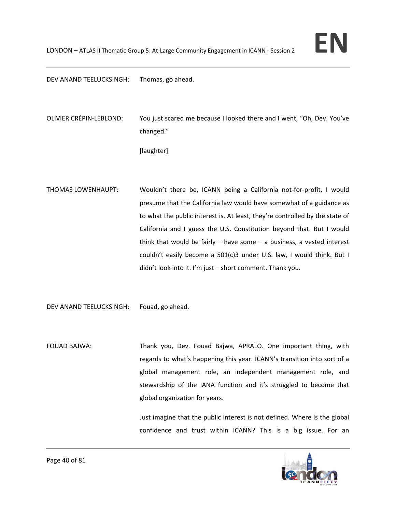DEV ANAND TEELUCKSINGH: Thomas, go ahead.

OLIVIER CRÉPIN‐LEBLOND: You just scared me because I looked there and I went, "Oh, Dev. You've changed."

[laughter]

THOMAS LOWENHAUPT: Wouldn't there be, ICANN being a California not‐for‐profit, I would presume that the California law would have somewhat of a guidance as to what the public interest is. At least, they're controlled by the state of California and I guess the U.S. Constitution beyond that. But I would think that would be fairly  $-$  have some  $-$  a business, a vested interest couldn't easily become a 501(c)3 under U.S. law, I would think. But I didn't look into it. I'm just – short comment. Thank you.

DEV ANAND TEELUCKSINGH: Fouad, go ahead.

FOUAD BAJWA: Thank you, Dev. Fouad Bajwa, APRALO. One important thing, with regards to what's happening this year. ICANN's transition into sort of a global management role, an independent management role, and stewardship of the IANA function and it's struggled to become that global organization for years.

> Just imagine that the public interest is not defined. Where is the global confidence and trust within ICANN? This is a big issue. For an

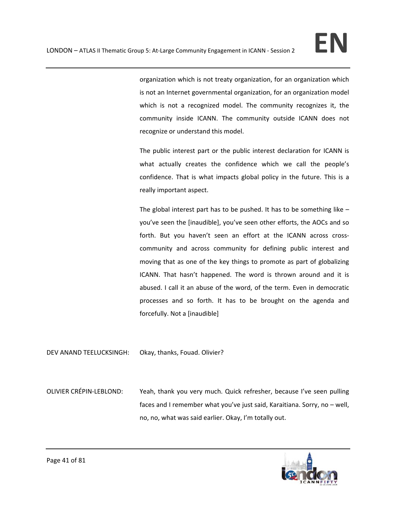organization which is not treaty organization, for an organization which is not an Internet governmental organization, for an organization model which is not a recognized model. The community recognizes it, the community inside ICANN. The community outside ICANN does not recognize or understand this model.

The public interest part or the public interest declaration for ICANN is what actually creates the confidence which we call the people's confidence. That is what impacts global policy in the future. This is a really important aspect.

The global interest part has to be pushed. It has to be something like – you've seen the [inaudible], you've seen other efforts, the AOCs and so forth. But you haven't seen an effort at the ICANN across crosscommunity and across community for defining public interest and moving that as one of the key things to promote as part of globalizing ICANN. That hasn't happened. The word is thrown around and it is abused. I call it an abuse of the word, of the term. Even in democratic processes and so forth. It has to be brought on the agenda and forcefully. Not a [inaudible]

DEV ANAND TEELUCKSINGH: Okay, thanks, Fouad. Olivier?

OLIVIER CRÉPIN‐LEBLOND: Yeah, thank you very much. Quick refresher, because I've seen pulling faces and I remember what you've just said, Karaitiana. Sorry, no – well, no, no, what was said earlier. Okay, I'm totally out.

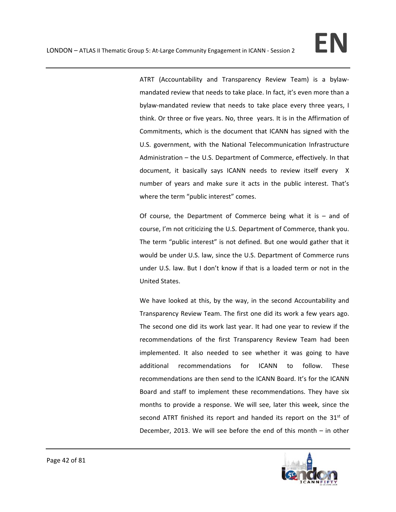ATRT (Accountability and Transparency Review Team) is a bylaw‐ mandated review that needs to take place. In fact, it's even more than a bylaw‐mandated review that needs to take place every three years, I think. Or three or five years. No, three years. It is in the Affirmation of Commitments, which is the document that ICANN has signed with the U.S. government, with the National Telecommunication Infrastructure Administration – the U.S. Department of Commerce, effectively. In that document, it basically says ICANN needs to review itself every X number of years and make sure it acts in the public interest. That's where the term "public interest" comes.

Of course, the Department of Commerce being what it is  $-$  and of course, I'm not criticizing the U.S. Department of Commerce, thank you. The term "public interest" is not defined. But one would gather that it would be under U.S. law, since the U.S. Department of Commerce runs under U.S. law. But I don't know if that is a loaded term or not in the United States.

We have looked at this, by the way, in the second Accountability and Transparency Review Team. The first one did its work a few years ago. The second one did its work last year. It had one year to review if the recommendations of the first Transparency Review Team had been implemented. It also needed to see whether it was going to have additional recommendations for ICANN to follow. These recommendations are then send to the ICANN Board. It's for the ICANN Board and staff to implement these recommendations. They have six months to provide a response. We will see, later this week, since the second ATRT finished its report and handed its report on the  $31<sup>st</sup>$  of December, 2013. We will see before the end of this month – in other

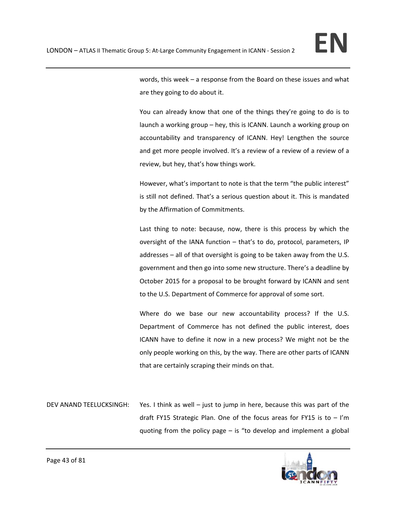words, this week – a response from the Board on these issues and what are they going to do about it.

You can already know that one of the things they're going to do is to launch a working group – hey, this is ICANN. Launch a working group on accountability and transparency of ICANN. Hey! Lengthen the source and get more people involved. It's a review of a review of a review of a review, but hey, that's how things work.

However, what's important to note is that the term "the public interest" is still not defined. That's a serious question about it. This is mandated by the Affirmation of Commitments.

Last thing to note: because, now, there is this process by which the oversight of the IANA function – that's to do, protocol, parameters, IP addresses – all of that oversight is going to be taken away from the U.S. government and then go into some new structure. There's a deadline by October 2015 for a proposal to be brought forward by ICANN and sent to the U.S. Department of Commerce for approval of some sort.

Where do we base our new accountability process? If the U.S. Department of Commerce has not defined the public interest, does ICANN have to define it now in a new process? We might not be the only people working on this, by the way. There are other parts of ICANN that are certainly scraping their minds on that.

DEV ANAND TEELUCKSINGH: Yes. I think as well – just to jump in here, because this was part of the draft FY15 Strategic Plan. One of the focus areas for FY15 is to  $-$  I'm quoting from the policy page – is "to develop and implement a global

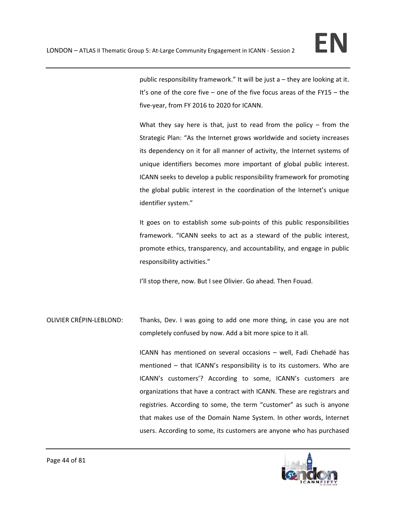public responsibility framework." It will be just a – they are looking at it. It's one of the core five – one of the five focus areas of the FY15 – the five‐year, from FY 2016 to 2020 for ICANN.

What they say here is that, just to read from the policy  $-$  from the Strategic Plan: "As the Internet grows worldwide and society increases its dependency on it for all manner of activity, the Internet systems of unique identifiers becomes more important of global public interest. ICANN seeks to develop a public responsibility framework for promoting the global public interest in the coordination of the Internet's unique identifier system."

It goes on to establish some sub‐points of this public responsibilities framework. "ICANN seeks to act as a steward of the public interest, promote ethics, transparency, and accountability, and engage in public responsibility activities."

I'll stop there, now. But I see Olivier. Go ahead. Then Fouad.

OLIVIER CRÉPIN‐LEBLOND: Thanks, Dev. I was going to add one more thing, in case you are not completely confused by now. Add a bit more spice to it all.

> ICANN has mentioned on several occasions – well, Fadi Chehadé has mentioned – that ICANN's responsibility is to its customers. Who are ICANN's customers'? According to some, ICANN's customers are organizations that have a contract with ICANN. These are registrars and registries. According to some, the term "customer" as such is anyone that makes use of the Domain Name System. In other words, Internet users. According to some, its customers are anyone who has purchased

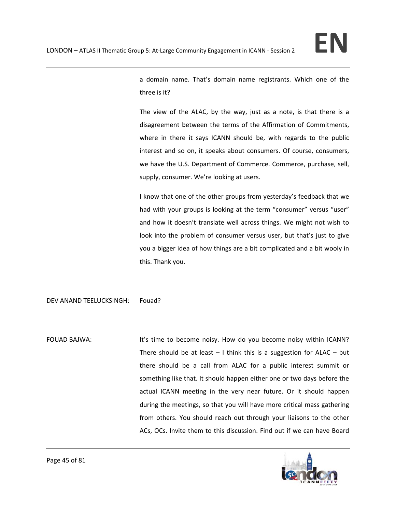

a domain name. That's domain name registrants. Which one of the three is it?

The view of the ALAC, by the way, just as a note, is that there is a disagreement between the terms of the Affirmation of Commitments, where in there it says ICANN should be, with regards to the public interest and so on, it speaks about consumers. Of course, consumers, we have the U.S. Department of Commerce. Commerce, purchase, sell, supply, consumer. We're looking at users.

I know that one of the other groups from yesterday's feedback that we had with your groups is looking at the term "consumer" versus "user" and how it doesn't translate well across things. We might not wish to look into the problem of consumer versus user, but that's just to give you a bigger idea of how things are a bit complicated and a bit wooly in this. Thank you.

DEV ANAND TEELUCKSINGH: Fouad?

FOUAD BAJWA: It's time to become noisy. How do you become noisy within ICANN? There should be at least  $-1$  think this is a suggestion for ALAC – but there should be a call from ALAC for a public interest summit or something like that. It should happen either one or two days before the actual ICANN meeting in the very near future. Or it should happen during the meetings, so that you will have more critical mass gathering from others. You should reach out through your liaisons to the other ACs, OCs. Invite them to this discussion. Find out if we can have Board

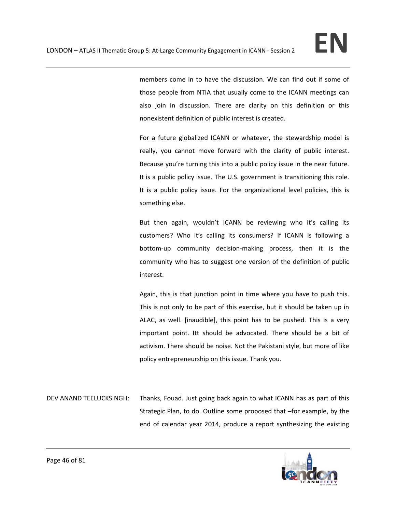members come in to have the discussion. We can find out if some of those people from NTIA that usually come to the ICANN meetings can also join in discussion. There are clarity on this definition or this nonexistent definition of public interest is created.

For a future globalized ICANN or whatever, the stewardship model is really, you cannot move forward with the clarity of public interest. Because you're turning this into a public policy issue in the near future. It is a public policy issue. The U.S. government is transitioning this role. It is a public policy issue. For the organizational level policies, this is something else.

But then again, wouldn't ICANN be reviewing who it's calling its customers? Who it's calling its consumers? If ICANN is following a bottom‐up community decision‐making process, then it is the community who has to suggest one version of the definition of public interest.

Again, this is that junction point in time where you have to push this. This is not only to be part of this exercise, but it should be taken up in ALAC, as well. [inaudible], this point has to be pushed. This is a very important point. Itt should be advocated. There should be a bit of activism. There should be noise. Not the Pakistani style, but more of like policy entrepreneurship on this issue. Thank you.

DEV ANAND TEELUCKSINGH: Thanks, Fouad. Just going back again to what ICANN has as part of this Strategic Plan, to do. Outline some proposed that –for example, by the end of calendar year 2014, produce a report synthesizing the existing

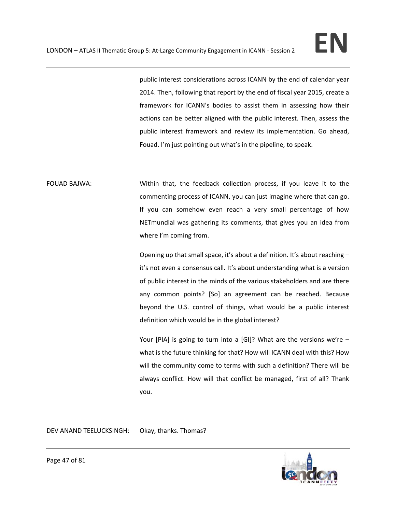public interest considerations across ICANN by the end of calendar year 2014. Then, following that report by the end of fiscal year 2015, create a framework for ICANN's bodies to assist them in assessing how their actions can be better aligned with the public interest. Then, assess the public interest framework and review its implementation. Go ahead, Fouad. I'm just pointing out what's in the pipeline, to speak.

FOUAD BAJWA: Within that, the feedback collection process, if you leave it to the commenting process of ICANN, you can just imagine where that can go. If you can somehow even reach a very small percentage of how NETmundial was gathering its comments, that gives you an idea from where I'm coming from.

> Opening up that small space, it's about a definition. It's about reaching – it's not even a consensus call. It's about understanding what is a version of public interest in the minds of the various stakeholders and are there any common points? [So] an agreement can be reached. Because beyond the U.S. control of things, what would be a public interest definition which would be in the global interest?

> Your [PIA] is going to turn into a [GI]? What are the versions we're what is the future thinking for that? How will ICANN deal with this? How will the community come to terms with such a definition? There will be always conflict. How will that conflict be managed, first of all? Thank you.

DEV ANAND TEELUCKSINGH: Okay, thanks. Thomas?

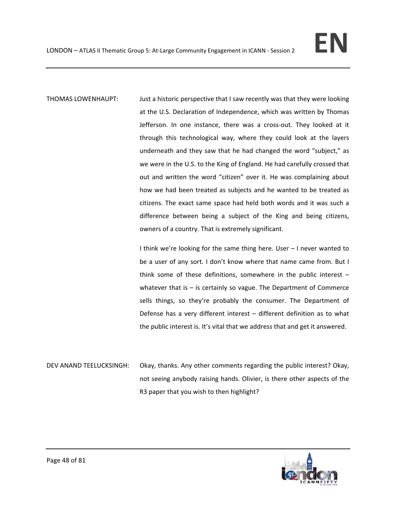THOMAS LOWENHAUPT: Just a historic perspective that I saw recently was that they were looking at the U.S. Declaration of Independence, which was written by Thomas Jefferson. In one instance, there was a cross-out. They looked at it through this technological way, where they could look at the layers underneath and they saw that he had changed the word "subject," as we were in the U.S. to the King of England. He had carefully crossed that out and written the word "citizen" over it. He was complaining about how we had been treated as subjects and he wanted to be treated as citizens. The exact same space had held both words and it was such a difference between being a subject of the King and being citizens, owners of a country. That is extremely significant.

> I think we're looking for the same thing here. User – I never wanted to be a user of any sort. I don't know where that name came from. But I think some of these definitions, somewhere in the public interest – whatever that is - is certainly so vague. The Department of Commerce sells things, so they're probably the consumer. The Department of Defense has a very different interest – different definition as to what the public interest is. It's vital that we address that and get it answered.

DEV ANAND TEELUCKSINGH: Okay, thanks. Any other comments regarding the public interest? Okay, not seeing anybody raising hands. Olivier, is there other aspects of the R3 paper that you wish to then highlight?

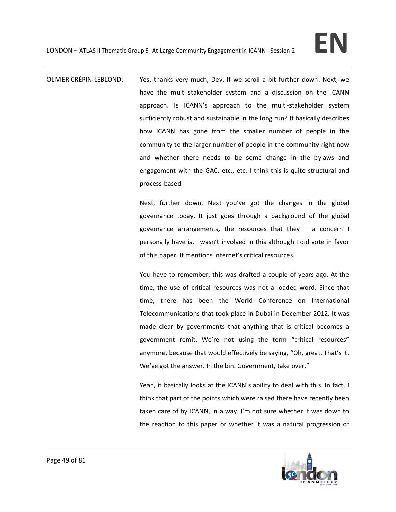OLIVIER CRÉPIN‐LEBLOND: Yes, thanks very much, Dev. If we scroll a bit further down. Next, we have the multi-stakeholder system and a discussion on the ICANN approach. Is ICANN's approach to the multi‐stakeholder system sufficiently robust and sustainable in the long run? It basically describes how ICANN has gone from the smaller number of people in the community to the larger number of people in the community right now and whether there needs to be some change in the bylaws and engagement with the GAC, etc., etc. I think this is quite structural and process‐based.

> Next, further down. Next you've got the changes in the global governance today. It just goes through a background of the global governance arrangements, the resources that they  $-$  a concern I personally have is, I wasn't involved in this although I did vote in favor of this paper. It mentions Internet's critical resources.

> You have to remember, this was drafted a couple of years ago. At the time, the use of critical resources was not a loaded word. Since that time, there has been the World Conference on International Telecommunications that took place in Dubai in December 2012. It was made clear by governments that anything that is critical becomes a government remit. We're not using the term "critical resources" anymore, because that would effectively be saying, "Oh, great. That's it. We've got the answer. In the bin. Government, take over."

> Yeah, it basically looks at the ICANN's ability to deal with this. In fact, I think that part of the points which were raised there have recently been taken care of by ICANN, in a way. I'm not sure whether it was down to the reaction to this paper or whether it was a natural progression of

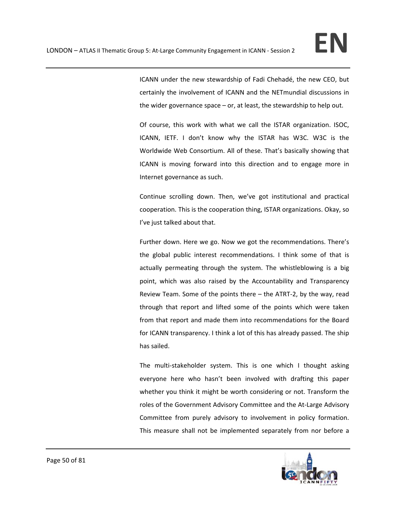ICANN under the new stewardship of Fadi Chehadé, the new CEO, but certainly the involvement of ICANN and the NETmundial discussions in the wider governance space – or, at least, the stewardship to help out.

Of course, this work with what we call the ISTAR organization. ISOC, ICANN, IETF. I don't know why the ISTAR has W3C. W3C is the Worldwide Web Consortium. All of these. That's basically showing that ICANN is moving forward into this direction and to engage more in Internet governance as such.

Continue scrolling down. Then, we've got institutional and practical cooperation. This is the cooperation thing, ISTAR organizations. Okay, so I've just talked about that.

Further down. Here we go. Now we got the recommendations. There's the global public interest recommendations. I think some of that is actually permeating through the system. The whistleblowing is a big point, which was also raised by the Accountability and Transparency Review Team. Some of the points there – the ATRT‐2, by the way, read through that report and lifted some of the points which were taken from that report and made them into recommendations for the Board for ICANN transparency. I think a lot of this has already passed. The ship has sailed.

The multi-stakeholder system. This is one which I thought asking everyone here who hasn't been involved with drafting this paper whether you think it might be worth considering or not. Transform the roles of the Government Advisory Committee and the At‐Large Advisory Committee from purely advisory to involvement in policy formation. This measure shall not be implemented separately from nor before a

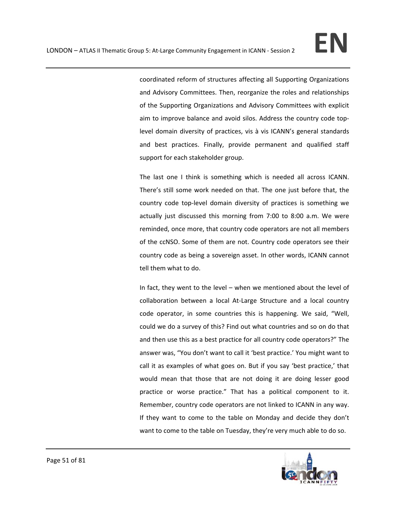coordinated reform of structures affecting all Supporting Organizations and Advisory Committees. Then, reorganize the roles and relationships of the Supporting Organizations and Advisory Committees with explicit aim to improve balance and avoid silos. Address the country code top‐ level domain diversity of practices, vis à vis ICANN's general standards and best practices. Finally, provide permanent and qualified staff support for each stakeholder group.

The last one I think is something which is needed all across ICANN. There's still some work needed on that. The one just before that, the country code top‐level domain diversity of practices is something we actually just discussed this morning from 7:00 to 8:00 a.m. We were reminded, once more, that country code operators are not all members of the ccNSO. Some of them are not. Country code operators see their country code as being a sovereign asset. In other words, ICANN cannot tell them what to do.

In fact, they went to the level – when we mentioned about the level of collaboration between a local At‐Large Structure and a local country code operator, in some countries this is happening. We said, "Well, could we do a survey of this? Find out what countries and so on do that and then use this as a best practice for all country code operators?" The answer was, "You don't want to call it 'best practice.' You might want to call it as examples of what goes on. But if you say 'best practice,' that would mean that those that are not doing it are doing lesser good practice or worse practice." That has a political component to it. Remember, country code operators are not linked to ICANN in any way. If they want to come to the table on Monday and decide they don't want to come to the table on Tuesday, they're very much able to do so.

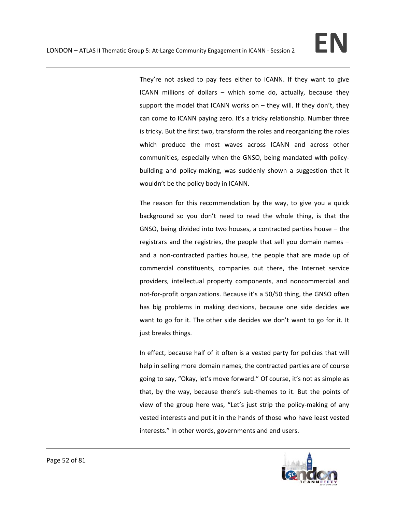They're not asked to pay fees either to ICANN. If they want to give ICANN millions of dollars – which some do, actually, because they support the model that ICANN works on  $-$  they will. If they don't, they can come to ICANN paying zero. It's a tricky relationship. Number three is tricky. But the first two, transform the roles and reorganizing the roles which produce the most waves across ICANN and across other communities, especially when the GNSO, being mandated with policy‐ building and policy‐making, was suddenly shown a suggestion that it wouldn't be the policy body in ICANN.

The reason for this recommendation by the way, to give you a quick background so you don't need to read the whole thing, is that the GNSO, being divided into two houses, a contracted parties house – the registrars and the registries, the people that sell you domain names – and a non‐contracted parties house, the people that are made up of commercial constituents, companies out there, the Internet service providers, intellectual property components, and noncommercial and not-for-profit organizations. Because it's a 50/50 thing, the GNSO often has big problems in making decisions, because one side decides we want to go for it. The other side decides we don't want to go for it. It just breaks things.

In effect, because half of it often is a vested party for policies that will help in selling more domain names, the contracted parties are of course going to say, "Okay, let's move forward." Of course, it's not as simple as that, by the way, because there's sub‐themes to it. But the points of view of the group here was, "Let's just strip the policy-making of any vested interests and put it in the hands of those who have least vested interests." In other words, governments and end users.

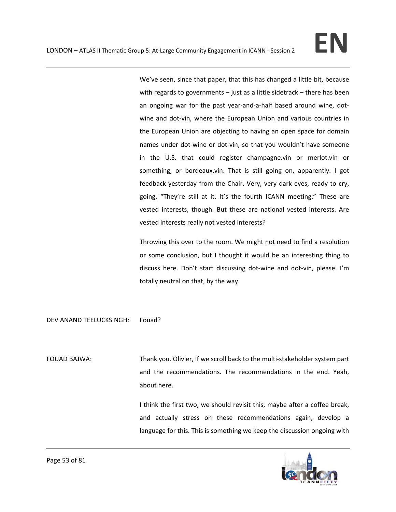We've seen, since that paper, that this has changed a little bit, because with regards to governments – just as a little sidetrack – there has been an ongoing war for the past year‐and‐a‐half based around wine, dot‐ wine and dot-vin, where the European Union and various countries in the European Union are objecting to having an open space for domain names under dot‐wine or dot‐vin, so that you wouldn't have someone in the U.S. that could register champagne.vin or merlot.vin or something, or bordeaux.vin. That is still going on, apparently. I got feedback yesterday from the Chair. Very, very dark eyes, ready to cry, going, "They're still at it. It's the fourth ICANN meeting." These are vested interests, though. But these are national vested interests. Are vested interests really not vested interests?

Throwing this over to the room. We might not need to find a resolution or some conclusion, but I thought it would be an interesting thing to discuss here. Don't start discussing dot‐wine and dot‐vin, please. I'm totally neutral on that, by the way.

DEV ANAND TEELUCKSINGH: Fouad?

FOUAD BAJWA: Thank you. Olivier, if we scroll back to the multi-stakeholder system part and the recommendations. The recommendations in the end. Yeah, about here.

> I think the first two, we should revisit this, maybe after a coffee break, and actually stress on these recommendations again, develop a language for this. This is something we keep the discussion ongoing with

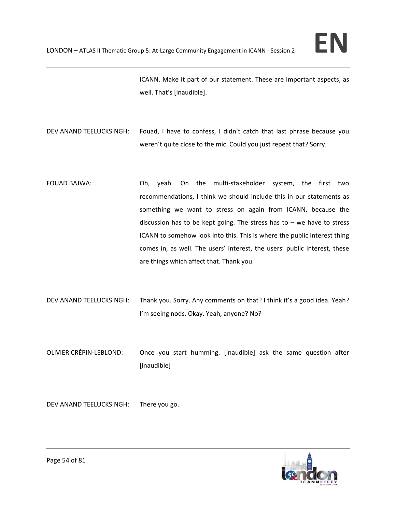ICANN. Make it part of our statement. These are important aspects, as well. That's [inaudible].

- DEV ANAND TEELUCKSINGH: Fouad, I have to confess, I didn't catch that last phrase because you weren't quite close to the mic. Could you just repeat that? Sorry.
- FOUAD BAJWA: Oh, yeah. On the multi-stakeholder system, the first two recommendations, I think we should include this in our statements as something we want to stress on again from ICANN, because the discussion has to be kept going. The stress has to  $-$  we have to stress ICANN to somehow look into this. This is where the public interest thing comes in, as well. The users' interest, the users' public interest, these are things which affect that. Thank you.
- DEV ANAND TEELUCKSINGH: Thank you. Sorry. Any comments on that? I think it's a good idea. Yeah? I'm seeing nods. Okay. Yeah, anyone? No?
- OLIVIER CRÉPIN‐LEBLOND: Once you start humming. [inaudible] ask the same question after [inaudible]

DEV ANAND TEELUCKSINGH: There you go.

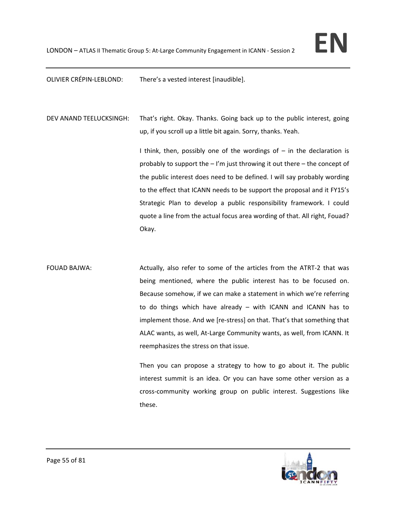OLIVIER CRÉPIN‐LEBLOND: There's a vested interest [inaudible].

DEV ANAND TEELUCKSINGH: That's right. Okay. Thanks. Going back up to the public interest, going up, if you scroll up a little bit again. Sorry, thanks. Yeah.

> I think, then, possibly one of the wordings of  $-$  in the declaration is probably to support the – I'm just throwing it out there – the concept of the public interest does need to be defined. I will say probably wording to the effect that ICANN needs to be support the proposal and it FY15's Strategic Plan to develop a public responsibility framework. I could quote a line from the actual focus area wording of that. All right, Fouad? Okay.

FOUAD BAJWA: Actually, also refer to some of the articles from the ATRT-2 that was being mentioned, where the public interest has to be focused on. Because somehow, if we can make a statement in which we're referring to do things which have already – with ICANN and ICANN has to implement those. And we [re‐stress] on that. That's that something that ALAC wants, as well, At‐Large Community wants, as well, from ICANN. It reemphasizes the stress on that issue.

> Then you can propose a strategy to how to go about it. The public interest summit is an idea. Or you can have some other version as a cross‐community working group on public interest. Suggestions like these.

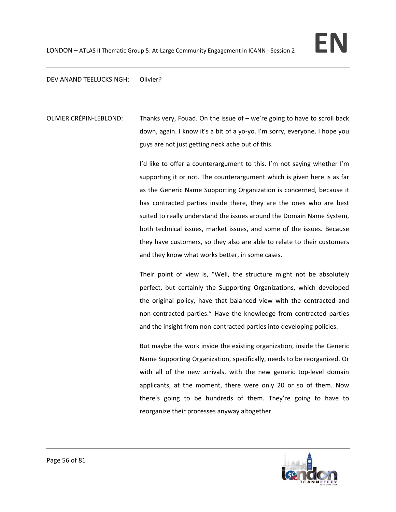## DEV ANAND TEELUCKSINGH: Olivier?

OLIVIER CRÉPIN-LEBLOND: Thanks very, Fouad. On the issue of – we're going to have to scroll back down, again. I know it's a bit of a yo‐yo. I'm sorry, everyone. I hope you guys are not just getting neck ache out of this.

> I'd like to offer a counterargument to this. I'm not saying whether I'm supporting it or not. The counterargument which is given here is as far as the Generic Name Supporting Organization is concerned, because it has contracted parties inside there, they are the ones who are best suited to really understand the issues around the Domain Name System, both technical issues, market issues, and some of the issues. Because they have customers, so they also are able to relate to their customers and they know what works better, in some cases.

> Their point of view is, "Well, the structure might not be absolutely perfect, but certainly the Supporting Organizations, which developed the original policy, have that balanced view with the contracted and non‐contracted parties." Have the knowledge from contracted parties and the insight from non-contracted parties into developing policies.

> But maybe the work inside the existing organization, inside the Generic Name Supporting Organization, specifically, needs to be reorganized. Or with all of the new arrivals, with the new generic top-level domain applicants, at the moment, there were only 20 or so of them. Now there's going to be hundreds of them. They're going to have to reorganize their processes anyway altogether.

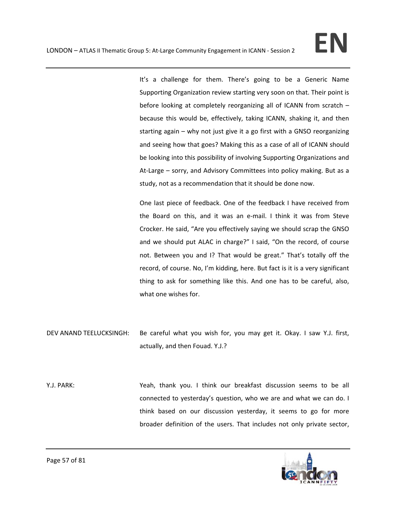It's a challenge for them. There's going to be a Generic Name Supporting Organization review starting very soon on that. Their point is before looking at completely reorganizing all of ICANN from scratch – because this would be, effectively, taking ICANN, shaking it, and then starting again – why not just give it a go first with a GNSO reorganizing and seeing how that goes? Making this as a case of all of ICANN should be looking into this possibility of involving Supporting Organizations and At-Large – sorry, and Advisory Committees into policy making. But as a study, not as a recommendation that it should be done now.

One last piece of feedback. One of the feedback I have received from the Board on this, and it was an e‐mail. I think it was from Steve Crocker. He said, "Are you effectively saying we should scrap the GNSO and we should put ALAC in charge?" I said, "On the record, of course not. Between you and I? That would be great." That's totally off the record, of course. No, I'm kidding, here. But fact is it is a very significant thing to ask for something like this. And one has to be careful, also, what one wishes for.

- DEV ANAND TEELUCKSINGH: Be careful what you wish for, you may get it. Okay. I saw Y.J. first, actually, and then Fouad. Y.J.?
- Y.J. PARK: Yeah, thank you. I think our breakfast discussion seems to be all connected to yesterday's question, who we are and what we can do. I think based on our discussion yesterday, it seems to go for more broader definition of the users. That includes not only private sector,

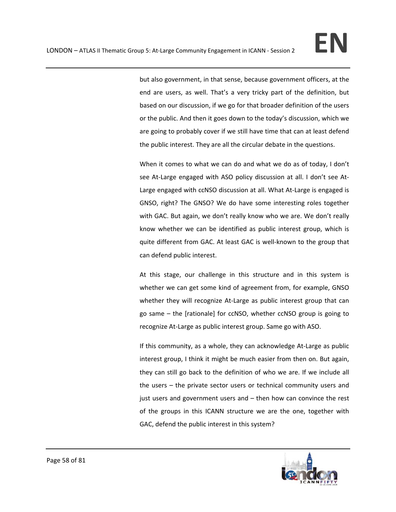but also government, in that sense, because government officers, at the end are users, as well. That's a very tricky part of the definition, but based on our discussion, if we go for that broader definition of the users or the public. And then it goes down to the today's discussion, which we are going to probably cover if we still have time that can at least defend the public interest. They are all the circular debate in the questions.

When it comes to what we can do and what we do as of today, I don't see At-Large engaged with ASO policy discussion at all. I don't see At-Large engaged with ccNSO discussion at all. What At‐Large is engaged is GNSO, right? The GNSO? We do have some interesting roles together with GAC. But again, we don't really know who we are. We don't really know whether we can be identified as public interest group, which is quite different from GAC. At least GAC is well-known to the group that can defend public interest.

At this stage, our challenge in this structure and in this system is whether we can get some kind of agreement from, for example, GNSO whether they will recognize At-Large as public interest group that can go same – the [rationale] for ccNSO, whether ccNSO group is going to recognize At-Large as public interest group. Same go with ASO.

If this community, as a whole, they can acknowledge At‐Large as public interest group, I think it might be much easier from then on. But again, they can still go back to the definition of who we are. If we include all the users – the private sector users or technical community users and just users and government users and – then how can convince the rest of the groups in this ICANN structure we are the one, together with GAC, defend the public interest in this system?

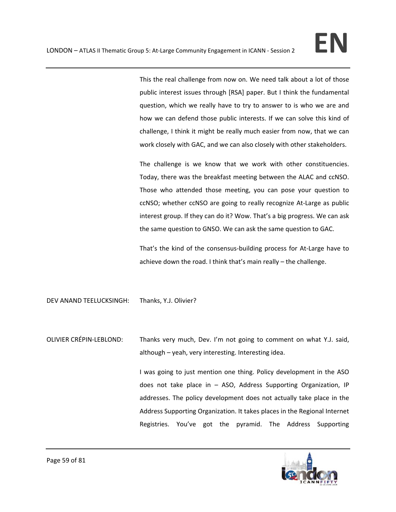This the real challenge from now on. We need talk about a lot of those public interest issues through [RSA] paper. But I think the fundamental question, which we really have to try to answer to is who we are and how we can defend those public interests. If we can solve this kind of challenge, I think it might be really much easier from now, that we can work closely with GAC, and we can also closely with other stakeholders.

The challenge is we know that we work with other constituencies. Today, there was the breakfast meeting between the ALAC and ccNSO. Those who attended those meeting, you can pose your question to ccNSO; whether ccNSO are going to really recognize At‐Large as public interest group. If they can do it? Wow. That's a big progress. We can ask the same question to GNSO. We can ask the same question to GAC.

That's the kind of the consensus‐building process for At‐Large have to achieve down the road. I think that's main really – the challenge.

DEV ANAND TEELUCKSINGH: Thanks, Y.J. Olivier?

OLIVIER CRÉPIN‐LEBLOND: Thanks very much, Dev. I'm not going to comment on what Y.J. said, although – yeah, very interesting. Interesting idea.

> I was going to just mention one thing. Policy development in the ASO does not take place in – ASO, Address Supporting Organization, IP addresses. The policy development does not actually take place in the Address Supporting Organization. It takes places in the Regional Internet Registries. You've got the pyramid. The Address Supporting

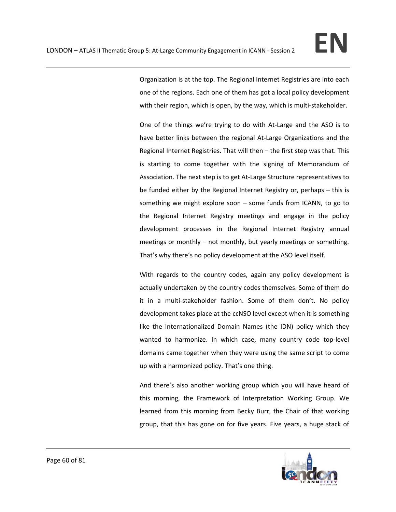Organization is at the top. The Regional Internet Registries are into each one of the regions. Each one of them has got a local policy development with their region, which is open, by the way, which is multi-stakeholder.

One of the things we're trying to do with At‐Large and the ASO is to have better links between the regional At-Large Organizations and the Regional Internet Registries. That will then – the first step was that. This is starting to come together with the signing of Memorandum of Association. The next step is to get At‐Large Structure representatives to be funded either by the Regional Internet Registry or, perhaps – this is something we might explore soon – some funds from ICANN, to go to the Regional Internet Registry meetings and engage in the policy development processes in the Regional Internet Registry annual meetings or monthly – not monthly, but yearly meetings or something. That's why there's no policy development at the ASO level itself.

With regards to the country codes, again any policy development is actually undertaken by the country codes themselves. Some of them do it in a multi-stakeholder fashion. Some of them don't. No policy development takes place at the ccNSO level except when it is something like the Internationalized Domain Names (the IDN) policy which they wanted to harmonize. In which case, many country code top-level domains came together when they were using the same script to come up with a harmonized policy. That's one thing.

And there's also another working group which you will have heard of this morning, the Framework of Interpretation Working Group. We learned from this morning from Becky Burr, the Chair of that working group, that this has gone on for five years. Five years, a huge stack of

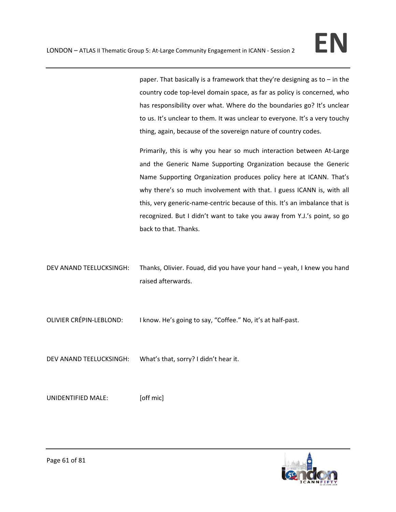paper. That basically is a framework that they're designing as to – in the country code top‐level domain space, as far as policy is concerned, who has responsibility over what. Where do the boundaries go? It's unclear to us. It's unclear to them. It was unclear to everyone. It's a very touchy thing, again, because of the sovereign nature of country codes.

Primarily, this is why you hear so much interaction between At‐Large and the Generic Name Supporting Organization because the Generic Name Supporting Organization produces policy here at ICANN. That's why there's so much involvement with that. I guess ICANN is, with all this, very generic-name-centric because of this. It's an imbalance that is recognized. But I didn't want to take you away from Y.J.'s point, so go back to that. Thanks.

DEV ANAND TEELUCKSINGH: Thanks, Olivier. Fouad, did you have your hand – yeah, I knew you hand raised afterwards.

OLIVIER CRÉPIN‐LEBLOND: I know. He's going to say, "Coffee." No, it's at half‐past.

DEV ANAND TEELUCKSINGH: What's that, sorry? I didn't hear it.

UNIDENTIFIED MALE: [off mic]

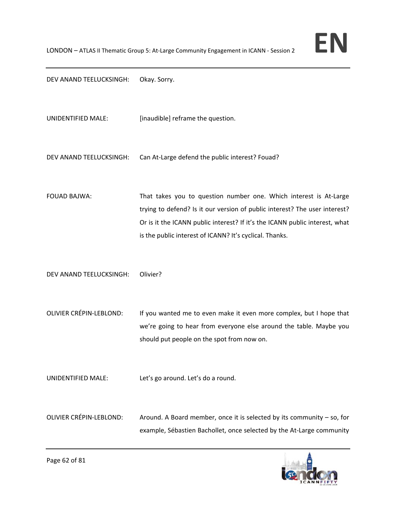

DEV ANAND TEELUCKSINGH: Okay. Sorry.

UNIDENTIFIED MALE: [inaudible] reframe the question.

DEV ANAND TEELUCKSINGH: Can At-Large defend the public interest? Fouad?

FOUAD BAJWA: That takes you to question number one. Which interest is At-Large trying to defend? Is it our version of public interest? The user interest? Or is it the ICANN public interest? If it's the ICANN public interest, what is the public interest of ICANN? It's cyclical. Thanks.

DEV ANAND TEELUCKSINGH: Olivier?

OLIVIER CRÉPIN-LEBLOND: If you wanted me to even make it even more complex, but I hope that we're going to hear from everyone else around the table. Maybe you should put people on the spot from now on.

UNIDENTIFIED MALE: Let's go around. Let's do a round.

OLIVIER CRÉPIN-LEBLOND: Around. A Board member, once it is selected by its community – so, for example, Sébastien Bachollet, once selected by the At‐Large community

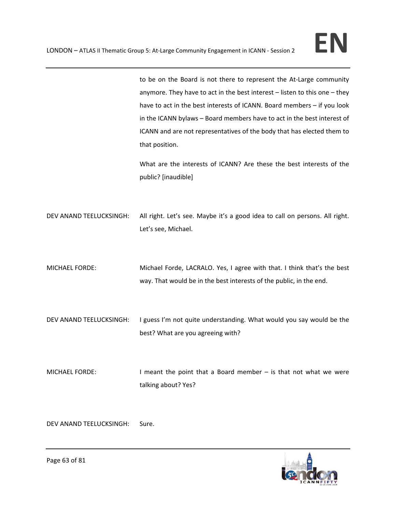to be on the Board is not there to represent the At-Large community anymore. They have to act in the best interest – listen to this one – they have to act in the best interests of ICANN. Board members – if you look in the ICANN bylaws – Board members have to act in the best interest of ICANN and are not representatives of the body that has elected them to that position.

What are the interests of ICANN? Are these the best interests of the public? [inaudible]

DEV ANAND TEELUCKSINGH: All right. Let's see. Maybe it's a good idea to call on persons. All right. Let's see, Michael.

MICHAEL FORDE: Michael Forde, LACRALO. Yes, I agree with that. I think that's the best way. That would be in the best interests of the public, in the end.

DEV ANAND TEELUCKSINGH: I guess I'm not quite understanding. What would you say would be the best? What are you agreeing with?

MICHAEL FORDE: I meant the point that a Board member – is that not what we were talking about? Yes?

DEV ANAND TEELUCKSINGH: Sure.

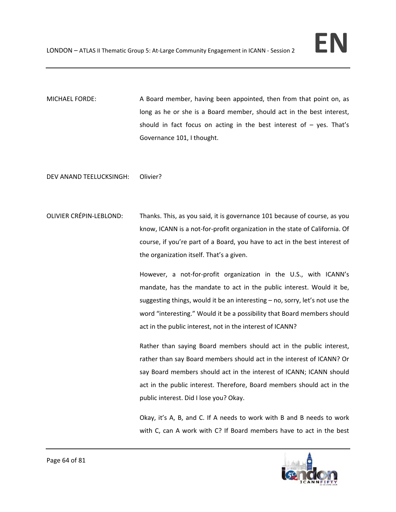MICHAEL FORDE: A Board member, having been appointed, then from that point on, as long as he or she is a Board member, should act in the best interest, should in fact focus on acting in the best interest of  $-$  yes. That's Governance 101, I thought.

DEV ANAND TEELUCKSINGH: Olivier?

OLIVIER CRÉPIN‐LEBLOND: Thanks. This, as you said, it is governance 101 because of course, as you know, ICANN is a not‐for‐profit organization in the state of California. Of course, if you're part of a Board, you have to act in the best interest of the organization itself. That's a given.

> However, a not-for-profit organization in the U.S., with ICANN's mandate, has the mandate to act in the public interest. Would it be, suggesting things, would it be an interesting – no, sorry, let's not use the word "interesting." Would it be a possibility that Board members should act in the public interest, not in the interest of ICANN?

> Rather than saying Board members should act in the public interest, rather than say Board members should act in the interest of ICANN? Or say Board members should act in the interest of ICANN; ICANN should act in the public interest. Therefore, Board members should act in the public interest. Did I lose you? Okay.

> Okay, it's A, B, and C. If A needs to work with B and B needs to work with C, can A work with C? If Board members have to act in the best

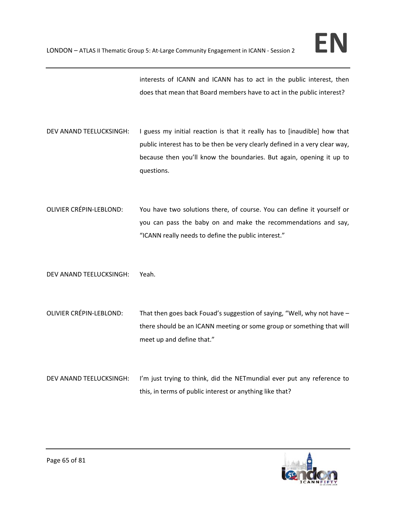interests of ICANN and ICANN has to act in the public interest, then does that mean that Board members have to act in the public interest?

- DEV ANAND TEELUCKSINGH: I guess my initial reaction is that it really has to [inaudible] how that public interest has to be then be very clearly defined in a very clear way, because then you'll know the boundaries. But again, opening it up to questions.
- OLIVIER CRÉPIN‐LEBLOND: You have two solutions there, of course. You can define it yourself or you can pass the baby on and make the recommendations and say, "ICANN really needs to define the public interest."

DEV ANAND TEELUCKSINGH: Yeah.

- OLIVIER CRÉPIN-LEBLOND: That then goes back Fouad's suggestion of saying, "Well, why not have there should be an ICANN meeting or some group or something that will meet up and define that."
- DEV ANAND TEELUCKSINGH: I'm just trying to think, did the NETmundial ever put any reference to this, in terms of public interest or anything like that?

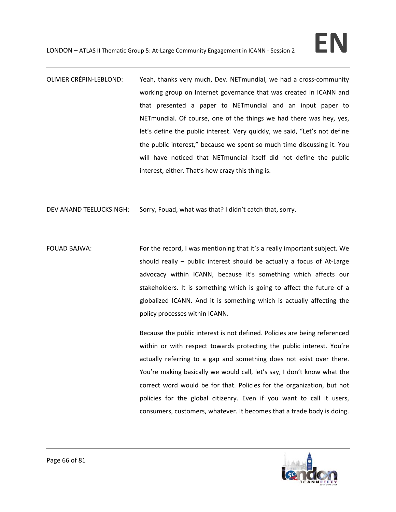OLIVIER CRÉPIN‐LEBLOND: Yeah, thanks very much, Dev. NETmundial, we had a cross‐community working group on Internet governance that was created in ICANN and that presented a paper to NETmundial and an input paper to NETmundial. Of course, one of the things we had there was hey, yes, let's define the public interest. Very quickly, we said, "Let's not define the public interest," because we spent so much time discussing it. You will have noticed that NETmundial itself did not define the public interest, either. That's how crazy this thing is.

DEV ANAND TEELUCKSINGH: Sorry, Fouad, what was that? I didn't catch that, sorry.

FOUAD BAJWA: For the record, I was mentioning that it's a really important subject. We should really – public interest should be actually a focus of At-Large advocacy within ICANN, because it's something which affects our stakeholders. It is something which is going to affect the future of a globalized ICANN. And it is something which is actually affecting the policy processes within ICANN.

> Because the public interest is not defined. Policies are being referenced within or with respect towards protecting the public interest. You're actually referring to a gap and something does not exist over there. You're making basically we would call, let's say, I don't know what the correct word would be for that. Policies for the organization, but not policies for the global citizenry. Even if you want to call it users, consumers, customers, whatever. It becomes that a trade body is doing.

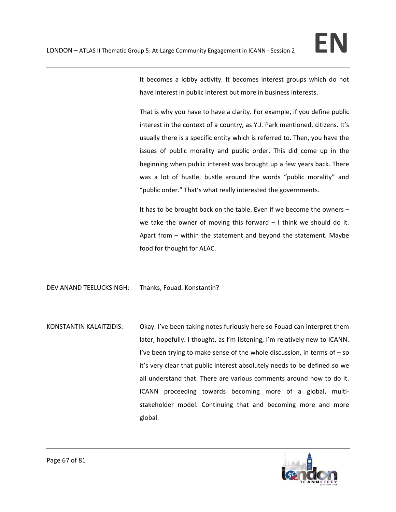It becomes a lobby activity. It becomes interest groups which do not have interest in public interest but more in business interests.

That is why you have to have a clarity. For example, if you define public interest in the context of a country, as Y.J. Park mentioned, citizens. It's usually there is a specific entity which is referred to. Then, you have the issues of public morality and public order. This did come up in the beginning when public interest was brought up a few years back. There was a lot of hustle, bustle around the words "public morality" and "public order." That's what really interested the governments.

It has to be brought back on the table. Even if we become the owners – we take the owner of moving this forward  $-1$  think we should do it. Apart from – within the statement and beyond the statement. Maybe food for thought for ALAC.

DEV ANAND TEELUCKSINGH: Thanks, Fouad. Konstantin?

KONSTANTIN KALAITZIDIS: Okay. I've been taking notes furiously here so Fouad can interpret them later, hopefully. I thought, as I'm listening, I'm relatively new to ICANN. I've been trying to make sense of the whole discussion, in terms of  $-$  so it's very clear that public interest absolutely needs to be defined so we all understand that. There are various comments around how to do it. ICANN proceeding towards becoming more of a global, multi‐ stakeholder model. Continuing that and becoming more and more global.

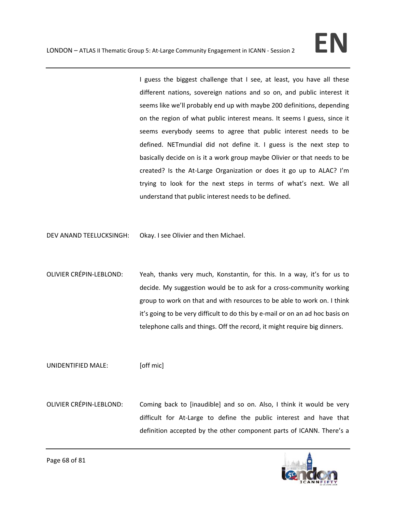I guess the biggest challenge that I see, at least, you have all these different nations, sovereign nations and so on, and public interest it seems like we'll probably end up with maybe 200 definitions, depending on the region of what public interest means. It seems I guess, since it seems everybody seems to agree that public interest needs to be defined. NETmundial did not define it. I guess is the next step to basically decide on is it a work group maybe Olivier or that needs to be created? Is the At-Large Organization or does it go up to ALAC? I'm trying to look for the next steps in terms of what's next. We all understand that public interest needs to be defined.

DEV ANAND TEELUCKSINGH: Okay. I see Olivier and then Michael.

OLIVIER CRÉPIN‐LEBLOND: Yeah, thanks very much, Konstantin, for this. In a way, it's for us to decide. My suggestion would be to ask for a cross‐community working group to work on that and with resources to be able to work on. I think it's going to be very difficult to do this by e‐mail or on an ad hoc basis on telephone calls and things. Off the record, it might require big dinners.

UNIDENTIFIED MALE: [off mic]

OLIVIER CRÉPIN‐LEBLOND: Coming back to [inaudible] and so on. Also, I think it would be very difficult for At‐Large to define the public interest and have that definition accepted by the other component parts of ICANN. There's a

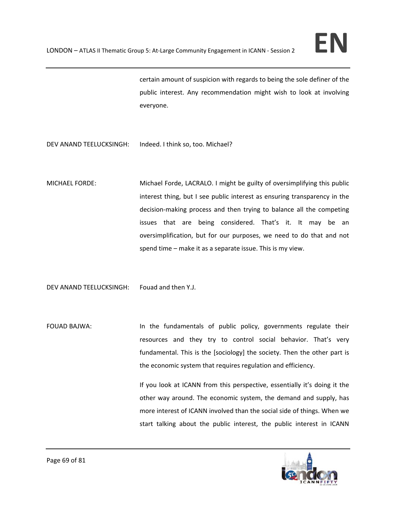certain amount of suspicion with regards to being the sole definer of the public interest. Any recommendation might wish to look at involving everyone.

- DEV ANAND TEELUCKSINGH: Indeed. I think so, too. Michael?
- MICHAEL FORDE: Michael Forde, LACRALO. I might be guilty of oversimplifying this public interest thing, but I see public interest as ensuring transparency in the decision‐making process and then trying to balance all the competing issues that are being considered. That's it. It may be an oversimplification, but for our purposes, we need to do that and not spend time – make it as a separate issue. This is my view.

DEV ANAND TEELUCKSINGH: Fouad and then Y.J.

FOUAD BAJWA: In the fundamentals of public policy, governments regulate their resources and they try to control social behavior. That's very fundamental. This is the [sociology] the society. Then the other part is the economic system that requires regulation and efficiency.

> If you look at ICANN from this perspective, essentially it's doing it the other way around. The economic system, the demand and supply, has more interest of ICANN involved than the social side of things. When we start talking about the public interest, the public interest in ICANN

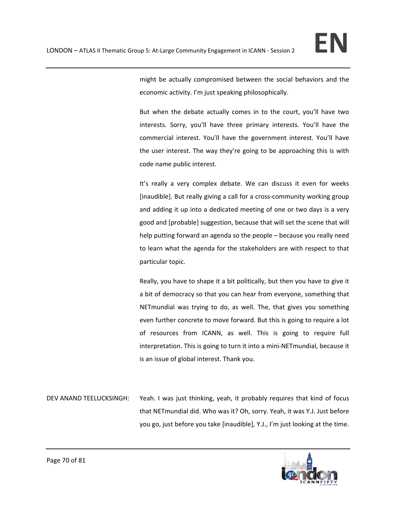might be actually compromised between the social behaviors and the economic activity. I'm just speaking philosophically.

But when the debate actually comes in to the court, you'll have two interests. Sorry, you'll have three primary interests. You'll have the commercial interest. You'll have the government interest. You'll have the user interest. The way they're going to be approaching this is with code name public interest.

It's really a very complex debate. We can discuss it even for weeks [inaudible]. But really giving a call for a cross‐community working group and adding it up into a dedicated meeting of one or two days is a very good and [probable] suggestion, because that will set the scene that will help putting forward an agenda so the people – because you really need to learn what the agenda for the stakeholders are with respect to that particular topic.

Really, you have to shape it a bit politically, but then you have to give it a bit of democracy so that you can hear from everyone, something that NETmundial was trying to do, as well. The, that gives you something even further concrete to move forward. But this is going to require a lot of resources from ICANN, as well. This is going to require full interpretation. This is going to turn it into a mini‐NETmundial, because it is an issue of global interest. Thank you.

DEV ANAND TEELUCKSINGH: Yeah. I was just thinking, yeah, it probably requires that kind of focus that NETmundial did. Who was it? Oh, sorry. Yeah, it was Y.J. Just before you go, just before you take [inaudible], Y.J., I'm just looking at the time.

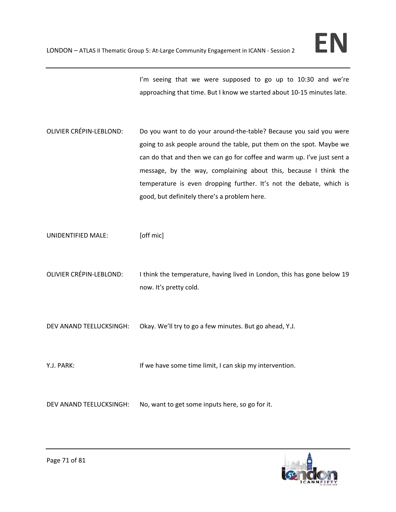I'm seeing that we were supposed to go up to 10:30 and we're approaching that time. But I know we started about 10‐15 minutes late.

OLIVIER CRÉPIN‐LEBLOND: Do you want to do your around‐the‐table? Because you said you were going to ask people around the table, put them on the spot. Maybe we can do that and then we can go for coffee and warm up. I've just sent a message, by the way, complaining about this, because I think the temperature is even dropping further. It's not the debate, which is good, but definitely there's a problem here.

UNIDENTIFIED MALE: [off mic]

OLIVIER CRÉPIN-LEBLOND: I think the temperature, having lived in London, this has gone below 19 now. It's pretty cold.

DEV ANAND TEELUCKSINGH: Okay. We'll try to go a few minutes. But go ahead, Y.J.

Y.J. PARK: **If we have some time limit, I can skip my intervention.** 

DEV ANAND TEELUCKSINGH: No, want to get some inputs here, so go for it.

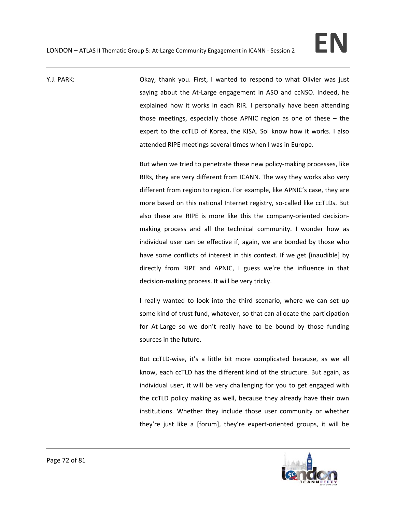Y.J. PARK: Okay, thank you. First, I wanted to respond to what Olivier was just saying about the At-Large engagement in ASO and ccNSO. Indeed, he explained how it works in each RIR. I personally have been attending those meetings, especially those APNIC region as one of these – the expert to the ccTLD of Korea, the KISA. SoI know how it works. I also attended RIPE meetings several times when I was in Europe.

> But when we tried to penetrate these new policy-making processes, like RIRs, they are very different from ICANN. The way they works also very different from region to region. For example, like APNIC's case, they are more based on this national Internet registry, so-called like ccTLDs. But also these are RIPE is more like this the company‐oriented decision‐ making process and all the technical community. I wonder how as individual user can be effective if, again, we are bonded by those who have some conflicts of interest in this context. If we get [inaudible] by directly from RIPE and APNIC, I guess we're the influence in that decision‐making process. It will be very tricky.

> I really wanted to look into the third scenario, where we can set up some kind of trust fund, whatever, so that can allocate the participation for At-Large so we don't really have to be bound by those funding sources in the future.

> But ccTLD‐wise, it's a little bit more complicated because, as we all know, each ccTLD has the different kind of the structure. But again, as individual user, it will be very challenging for you to get engaged with the ccTLD policy making as well, because they already have their own institutions. Whether they include those user community or whether they're just like a [forum], they're expert‐oriented groups, it will be

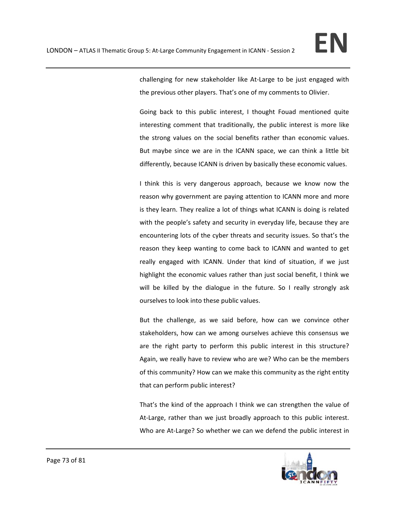challenging for new stakeholder like At‐Large to be just engaged with the previous other players. That's one of my comments to Olivier.

Going back to this public interest, I thought Fouad mentioned quite interesting comment that traditionally, the public interest is more like the strong values on the social benefits rather than economic values. But maybe since we are in the ICANN space, we can think a little bit differently, because ICANN is driven by basically these economic values.

I think this is very dangerous approach, because we know now the reason why government are paying attention to ICANN more and more is they learn. They realize a lot of things what ICANN is doing is related with the people's safety and security in everyday life, because they are encountering lots of the cyber threats and security issues. So that's the reason they keep wanting to come back to ICANN and wanted to get really engaged with ICANN. Under that kind of situation, if we just highlight the economic values rather than just social benefit, I think we will be killed by the dialogue in the future. So I really strongly ask ourselves to look into these public values.

But the challenge, as we said before, how can we convince other stakeholders, how can we among ourselves achieve this consensus we are the right party to perform this public interest in this structure? Again, we really have to review who are we? Who can be the members of this community? How can we make this community as the right entity that can perform public interest?

That's the kind of the approach I think we can strengthen the value of At-Large, rather than we just broadly approach to this public interest. Who are At-Large? So whether we can we defend the public interest in

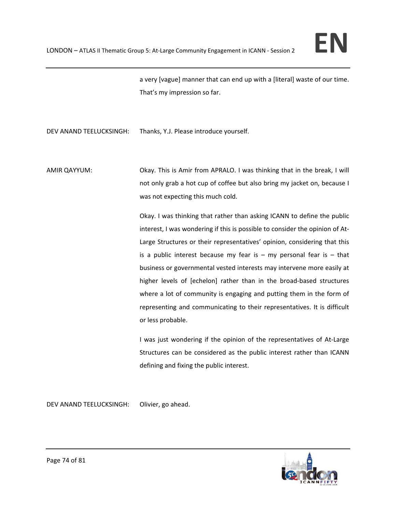a very [vague] manner that can end up with a [literal] waste of our time. That's my impression so far.

DEV ANAND TEELUCKSINGH: Thanks, Y.J. Please introduce yourself.

AMIR QAYYUM: Okay. This is Amir from APRALO. I was thinking that in the break, I will not only grab a hot cup of coffee but also bring my jacket on, because I was not expecting this much cold.

> Okay. I was thinking that rather than asking ICANN to define the public interest, I was wondering if this is possible to consider the opinion of At‐ Large Structures or their representatives' opinion, considering that this is a public interest because my fear is  $-$  my personal fear is  $-$  that business or governmental vested interests may intervene more easily at higher levels of [echelon] rather than in the broad-based structures where a lot of community is engaging and putting them in the form of representing and communicating to their representatives. It is difficult or less probable.

> I was just wondering if the opinion of the representatives of At‐Large Structures can be considered as the public interest rather than ICANN defining and fixing the public interest.

DEV ANAND TEELUCKSINGH: Olivier, go ahead.

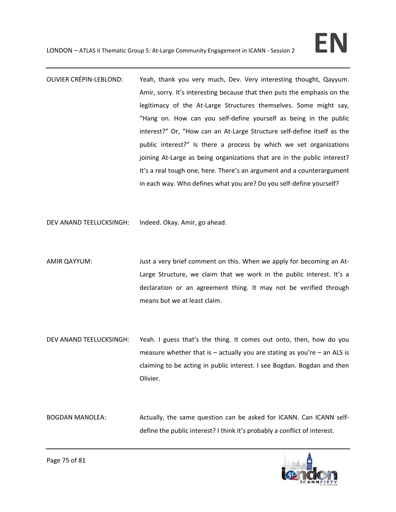- OLIVIER CRÉPIN‐LEBLOND: Yeah, thank you very much, Dev. Very interesting thought, Qayyum. Amir, sorry. It's interesting because that then puts the emphasis on the legitimacy of the At-Large Structures themselves. Some might say, "Hang on. How can you self‐define yourself as being in the public interest?" Or, "How can an At‐Large Structure self‐define itself as the public interest?" Is there a process by which we vet organizations joining At-Large as being organizations that are in the public interest? It's a real tough one, here. There's an argument and a counterargument in each way. Who defines what you are? Do you self‐define yourself?
- DEV ANAND TEELUCKSINGH: Indeed. Okay. Amir, go ahead.
- AMIR QAYYUM: Just a very brief comment on this. When we apply for becoming an At-Large Structure, we claim that we work in the public interest. It's a declaration or an agreement thing. It may not be verified through means but we at least claim.
- DEV ANAND TEELUCKSINGH: Yeah. I guess that's the thing. It comes out onto, then, how do you measure whether that is  $-$  actually you are stating as you're  $-$  an ALS is claiming to be acting in public interest. I see Bogdan. Bogdan and then Olivier.

BOGDAN MANOLEA: Actually, the same question can be asked for ICANN. Can ICANN selfdefine the public interest? I think it's probably a conflict of interest.

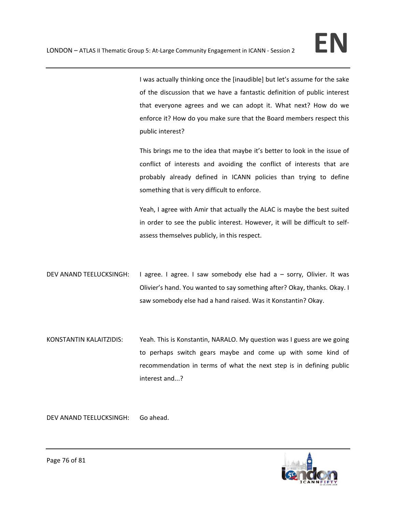I was actually thinking once the [inaudible] but let's assume for the sake of the discussion that we have a fantastic definition of public interest that everyone agrees and we can adopt it. What next? How do we enforce it? How do you make sure that the Board members respect this public interest?

This brings me to the idea that maybe it's better to look in the issue of conflict of interests and avoiding the conflict of interests that are probably already defined in ICANN policies than trying to define something that is very difficult to enforce.

Yeah, I agree with Amir that actually the ALAC is maybe the best suited in order to see the public interest. However, it will be difficult to self‐ assess themselves publicly, in this respect.

- DEV ANAND TEELUCKSINGH: I agree. I agree. I saw somebody else had a sorry, Olivier. It was Olivier's hand. You wanted to say something after? Okay, thanks. Okay. I saw somebody else had a hand raised. Was it Konstantin? Okay.
- KONSTANTIN KALAITZIDIS: Yeah. This is Konstantin, NARALO. My question was I guess are we going to perhaps switch gears maybe and come up with some kind of recommendation in terms of what the next step is in defining public interest and...?

DEV ANAND TEELUCKSINGH: Go ahead.

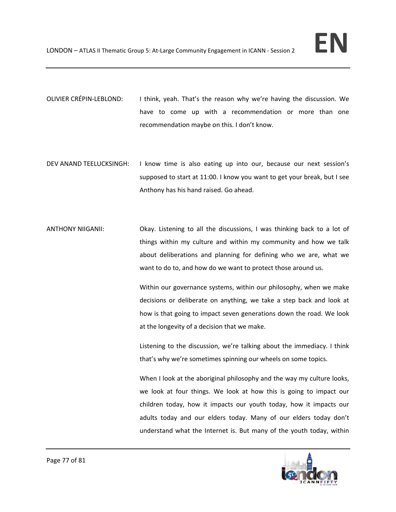- OLIVIER CRÉPIN‐LEBLOND: I think, yeah. That's the reason why we're having the discussion. We have to come up with a recommendation or more than one recommendation maybe on this. I don't know.
- DEV ANAND TEELUCKSINGH: I know time is also eating up into our, because our next session's supposed to start at 11:00. I know you want to get your break, but I see Anthony has his hand raised. Go ahead.
- ANTHONY NIIGANII: Okay. Listening to all the discussions, I was thinking back to a lot of things within my culture and within my community and how we talk about deliberations and planning for defining who we are, what we want to do to, and how do we want to protect those around us.

Within our governance systems, within our philosophy, when we make decisions or deliberate on anything, we take a step back and look at how is that going to impact seven generations down the road. We look at the longevity of a decision that we make.

Listening to the discussion, we're talking about the immediacy. I think that's why we're sometimes spinning our wheels on some topics.

When I look at the aboriginal philosophy and the way my culture looks, we look at four things. We look at how this is going to impact our children today, how it impacts our youth today, how it impacts our adults today and our elders today. Many of our elders today don't understand what the Internet is. But many of the youth today, within

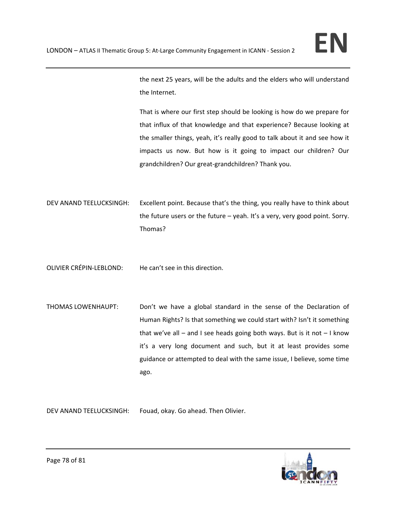

the next 25 years, will be the adults and the elders who will understand the Internet.

That is where our first step should be looking is how do we prepare for that influx of that knowledge and that experience? Because looking at the smaller things, yeah, it's really good to talk about it and see how it impacts us now. But how is it going to impact our children? Our grandchildren? Our great‐grandchildren? Thank you.

- DEV ANAND TEELUCKSINGH: Excellent point. Because that's the thing, you really have to think about the future users or the future – yeah. It's a very, very good point. Sorry. Thomas?
- OLIVIER CRÉPIN‐LEBLOND: He can't see in this direction.
- THOMAS LOWENHAUPT: Don't we have a global standard in the sense of the Declaration of Human Rights? Is that something we could start with? Isn't it something that we've all – and I see heads going both ways. But is it not  $-1$  know it's a very long document and such, but it at least provides some guidance or attempted to deal with the same issue, I believe, some time ago.

DEV ANAND TEELUCKSINGH: Fouad, okay. Go ahead. Then Olivier.

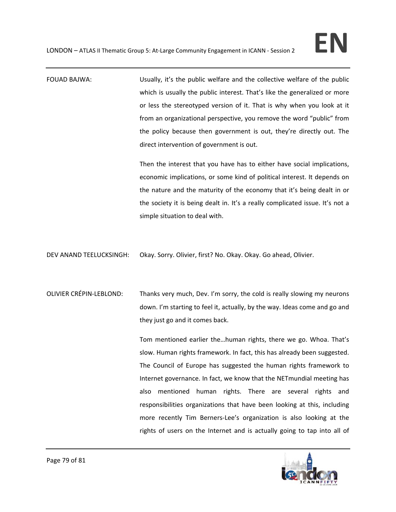FOUAD BAJWA: Usually, it's the public welfare and the collective welfare of the public which is usually the public interest. That's like the generalized or more or less the stereotyped version of it. That is why when you look at it from an organizational perspective, you remove the word "public" from the policy because then government is out, they're directly out. The direct intervention of government is out.

> Then the interest that you have has to either have social implications, economic implications, or some kind of political interest. It depends on the nature and the maturity of the economy that it's being dealt in or the society it is being dealt in. It's a really complicated issue. It's not a simple situation to deal with.

DEV ANAND TEELUCKSINGH: Okay. Sorry. Olivier, first? No. Okay. Okay. Go ahead, Olivier.

OLIVIER CRÉPIN‐LEBLOND: Thanks very much, Dev. I'm sorry, the cold is really slowing my neurons down. I'm starting to feel it, actually, by the way. Ideas come and go and they just go and it comes back.

> Tom mentioned earlier the…human rights, there we go. Whoa. That's slow. Human rights framework. In fact, this has already been suggested. The Council of Europe has suggested the human rights framework to Internet governance. In fact, we know that the NETmundial meeting has also mentioned human rights. There are several rights and responsibilities organizations that have been looking at this, including more recently Tim Berners‐Lee's organization is also looking at the rights of users on the Internet and is actually going to tap into all of

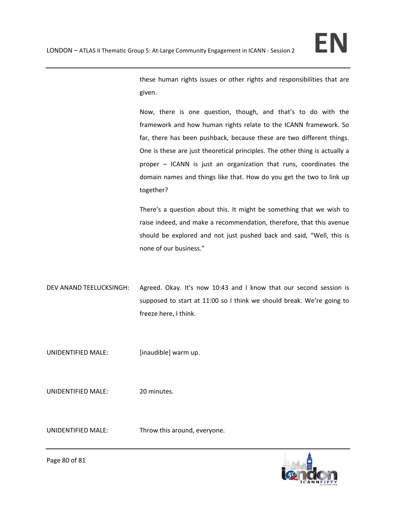these human rights issues or other rights and responsibilities that are given.

Now, there is one question, though, and that's to do with the framework and how human rights relate to the ICANN framework. So far, there has been pushback, because these are two different things. One is these are just theoretical principles. The other thing is actually a proper – ICANN is just an organization that runs, coordinates the domain names and things like that. How do you get the two to link up together?

There's a question about this. It might be something that we wish to raise indeed, and make a recommendation, therefore, that this avenue should be explored and not just pushed back and said, "Well, this is none of our business."

DEV ANAND TEELUCKSINGH: Agreed. Okay. It's now 10:43 and I know that our second session is supposed to start at 11:00 so I think we should break. We're going to freeze here, I think.

UNIDENTIFIED MALE: [inaudible] warm up.

UNIDENTIFIED MALE: 20 minutes.

UNIDENTIFIED MALE: Throw this around, everyone.



Page 80 of 81